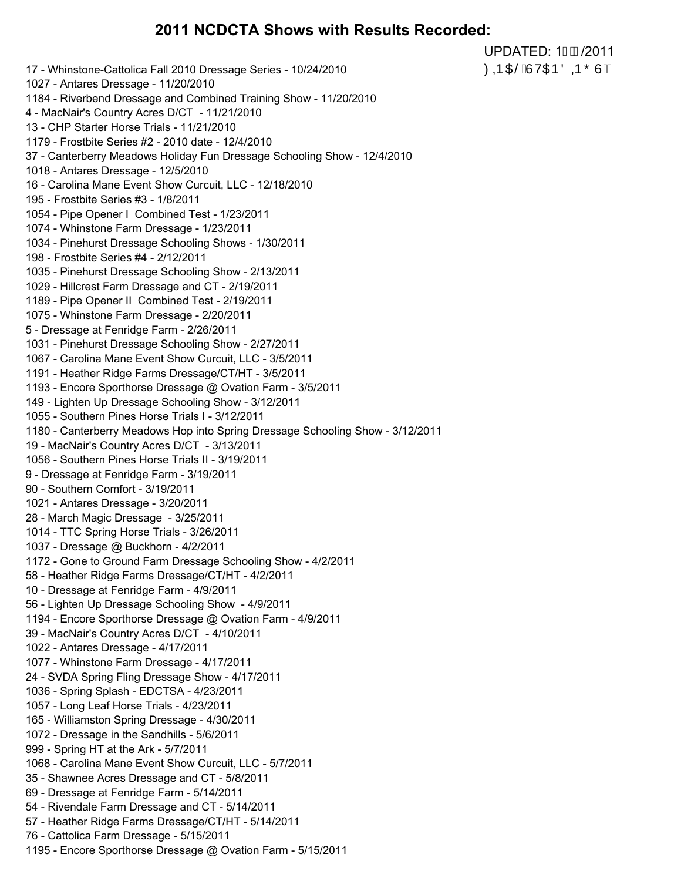#### **2011 NCDCTA Shows with Results Recorded:**

UPDATED: 1/2011 *COD CH***ŠÁJ VOJE ÖLD Ő L**ÙÃÁ

17 - Whinstone-Cattolica Fall 2010 Dressage Series - 10/24/2010 1027 - Antares Dressage - 11/20/2010 1184 - Riverbend Dressage and Combined Training Show - 11/20/2010 4 - MacNair's Country Acres D/CT - 11/21/2010 13 - CHP Starter Horse Trials - 11/21/2010 1179 - Frostbite Series #2 - 2010 date - 12/4/2010 37 - Canterberry Meadows Holiday Fun Dressage Schooling Show - 12/4/2010 1018 - Antares Dressage - 12/5/2010 16 - Carolina Mane Event Show Curcuit, LLC - 12/18/2010 195 - Frostbite Series #3 - 1/8/2011 1054 - Pipe Opener I Combined Test - 1/23/2011 1074 - Whinstone Farm Dressage - 1/23/2011 1034 - Pinehurst Dressage Schooling Shows - 1/30/2011 198 - Frostbite Series #4 - 2/12/2011 1035 - Pinehurst Dressage Schooling Show - 2/13/2011 1029 - Hillcrest Farm Dressage and CT - 2/19/2011 1189 - Pipe Opener II Combined Test - 2/19/2011 1075 - Whinstone Farm Dressage - 2/20/2011 5 - Dressage at Fenridge Farm - 2/26/2011 1031 - Pinehurst Dressage Schooling Show - 2/27/2011 1067 - Carolina Mane Event Show Curcuit, LLC - 3/5/2011 1191 - Heather Ridge Farms Dressage/CT/HT - 3/5/2011 1193 - Encore Sporthorse Dressage @ Ovation Farm - 3/5/2011 149 - Lighten Up Dressage Schooling Show - 3/12/2011 1055 - Southern Pines Horse Trials I - 3/12/2011 1180 - Canterberry Meadows Hop into Spring Dressage Schooling Show - 3/12/2011 19 - MacNair's Country Acres D/CT - 3/13/2011 1056 - Southern Pines Horse Trials II - 3/19/2011 9 - Dressage at Fenridge Farm - 3/19/2011 90 - Southern Comfort - 3/19/2011 1021 - Antares Dressage - 3/20/2011 28 - March Magic Dressage - 3/25/2011 1014 - TTC Spring Horse Trials - 3/26/2011 1037 - Dressage @ Buckhorn - 4/2/2011 1172 - Gone to Ground Farm Dressage Schooling Show - 4/2/2011 58 - Heather Ridge Farms Dressage/CT/HT - 4/2/2011 10 - Dressage at Fenridge Farm - 4/9/2011 56 - Lighten Up Dressage Schooling Show - 4/9/2011 1194 - Encore Sporthorse Dressage @ Ovation Farm - 4/9/2011 39 - MacNair's Country Acres D/CT - 4/10/2011 1022 - Antares Dressage - 4/17/2011 1077 - Whinstone Farm Dressage - 4/17/2011 24 - SVDA Spring Fling Dressage Show - 4/17/2011 1036 - Spring Splash - EDCTSA - 4/23/2011 1057 - Long Leaf Horse Trials - 4/23/2011 165 - Williamston Spring Dressage - 4/30/2011 1072 - Dressage in the Sandhills - 5/6/2011 999 - Spring HT at the Ark - 5/7/2011 1068 - Carolina Mane Event Show Curcuit, LLC - 5/7/2011 35 - Shawnee Acres Dressage and CT - 5/8/2011 69 - Dressage at Fenridge Farm - 5/14/2011 54 - Rivendale Farm Dressage and CT - 5/14/2011 57 - Heather Ridge Farms Dressage/CT/HT - 5/14/2011 76 - Cattolica Farm Dressage - 5/15/2011 1195 - Encore Sporthorse Dressage @ Ovation Farm - 5/15/2011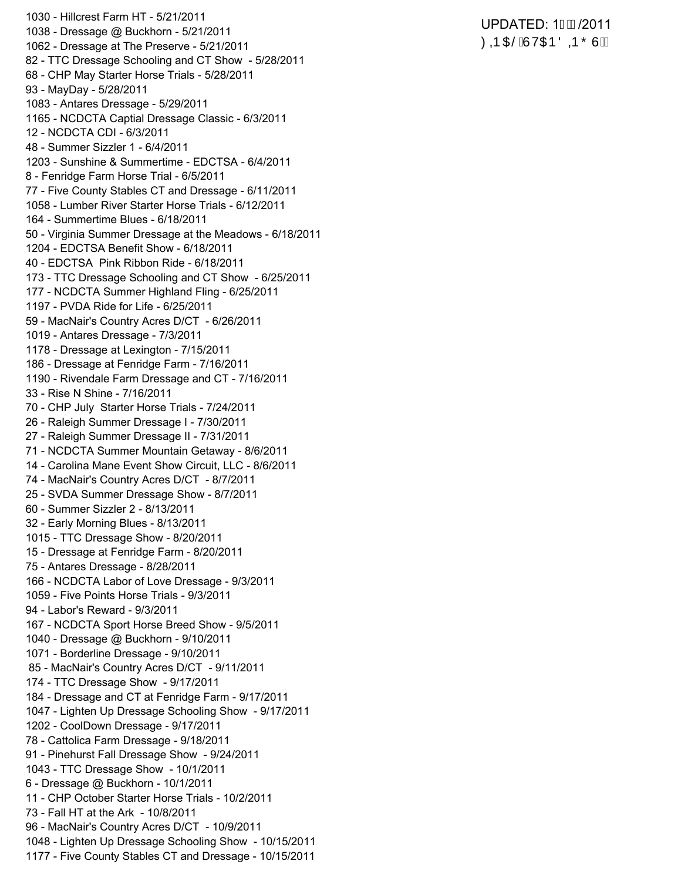1030 - Hillcrest Farm HT - 5/21/2011 1038 - Dressage @ Buckhorn - 5/21/2011 1062 - Dressage at The Preserve - 5/21/2011 82 - TTC Dressage Schooling and CT Show - 5/28/2011 68 - CHP May Starter Horse Trials - 5/28/2011 93 - MayDay - 5/28/2011 1083 - Antares Dressage - 5/29/2011 1165 - NCDCTA Captial Dressage Classic - 6/3/2011 12 - NCDCTA CDI - 6/3/2011 48 - Summer Sizzler 1 - 6/4/2011 1203 - Sunshine & Summertime - EDCTSA - 6/4/2011 8 - Fenridge Farm Horse Trial - 6/5/2011 77 - Five County Stables CT and Dressage - 6/11/2011 1058 - Lumber River Starter Horse Trials - 6/12/2011 164 - Summertime Blues - 6/18/2011 50 - Virginia Summer Dressage at the Meadows - 6/18/2011 1204 - EDCTSA Benefit Show - 6/18/2011 40 - EDCTSA Pink Ribbon Ride - 6/18/2011 173 - TTC Dressage Schooling and CT Show - 6/25/2011 177 - NCDCTA Summer Highland Fling - 6/25/2011 1197 - PVDA Ride for Life - 6/25/2011 59 - MacNair's Country Acres D/CT - 6/26/2011 1019 - Antares Dressage - 7/3/2011 1178 - Dressage at Lexington - 7/15/2011 186 - Dressage at Fenridge Farm - 7/16/2011 1190 - Rivendale Farm Dressage and CT - 7/16/2011 33 - Rise N Shine - 7/16/2011 70 - CHP July Starter Horse Trials - 7/24/2011 26 - Raleigh Summer Dressage I - 7/30/2011 27 - Raleigh Summer Dressage II - 7/31/2011 71 - NCDCTA Summer Mountain Getaway - 8/6/2011 14 - Carolina Mane Event Show Circuit, LLC - 8/6/2011 74 - MacNair's Country Acres D/CT - 8/7/2011 25 - SVDA Summer Dressage Show - 8/7/2011 60 - Summer Sizzler 2 - 8/13/2011 32 - Early Morning Blues - 8/13/2011 1015 - TTC Dressage Show - 8/20/2011 15 - Dressage at Fenridge Farm - 8/20/2011 75 - Antares Dressage - 8/28/2011 166 - NCDCTA Labor of Love Dressage - 9/3/2011 1059 - Five Points Horse Trials - 9/3/2011 94 - Labor's Reward - 9/3/2011 167 - NCDCTA Sport Horse Breed Show - 9/5/2011 1040 - Dressage @ Buckhorn - 9/10/2011 1071 - Borderline Dressage - 9/10/2011 85 - MacNair's Country Acres D/CT - 9/11/2011 174 - TTC Dressage Show - 9/17/2011 184 - Dressage and CT at Fenridge Farm - 9/17/2011 1047 - Lighten Up Dressage Schooling Show - 9/17/2011 1202 - CoolDown Dressage - 9/17/2011 78 - Cattolica Farm Dressage - 9/18/2011 91 - Pinehurst Fall Dressage Show - 9/24/2011 1043 - TTC Dressage Show - 10/1/2011 6 - Dressage @ Buckhorn - 10/1/2011 11 - CHP October Starter Horse Trials - 10/2/2011 73 - Fall HT at the Ark - 10/8/2011 96 - MacNair's Country Acres D/CT - 10/9/2011 1048 - Lighten Up Dressage Schooling Show - 10/15/2011 1177 - Five County Stables CT and Dressage - 10/15/2011

#### UPDATED: 1GD/2011 ØDD O BÁJ VOIÐ Ö DÐ Õ Ù Á Á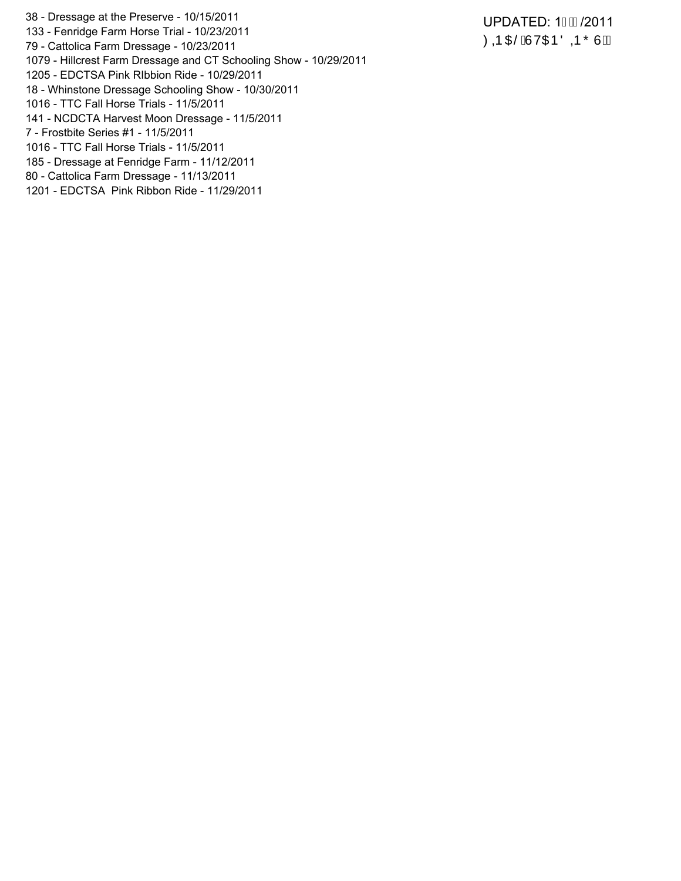38 - Dressage at the Preserve - 10/15/2011

- 133 Fenridge Farm Horse Trial 10/23/2011
- 79 Cattolica Farm Dressage 10/23/2011
- 1079 Hillcrest Farm Dressage and CT Schooling Show 10/29/2011
- 1205 EDCTSA Pink RIbbion Ride 10/29/2011
- 18 Whinstone Dressage Schooling Show 10/30/2011
- 1016 TTC Fall Horse Trials 11/5/2011
- 141 NCDCTA Harvest Moon Dressage 11/5/2011
- 7 Frostbite Series #1 11/5/2011
- 1016 TTC Fall Horse Trials 11/5/2011
- 185 Dressage at Fenridge Farm 11/12/2011
- 80 Cattolica Farm Dressage 11/13/2011
- 1201 EDCTSA Pink Ribbon Ride 11/29/2011

UPDATED: 1/2011 **ØDD O BAJVOJE ÖDD ÕU AA**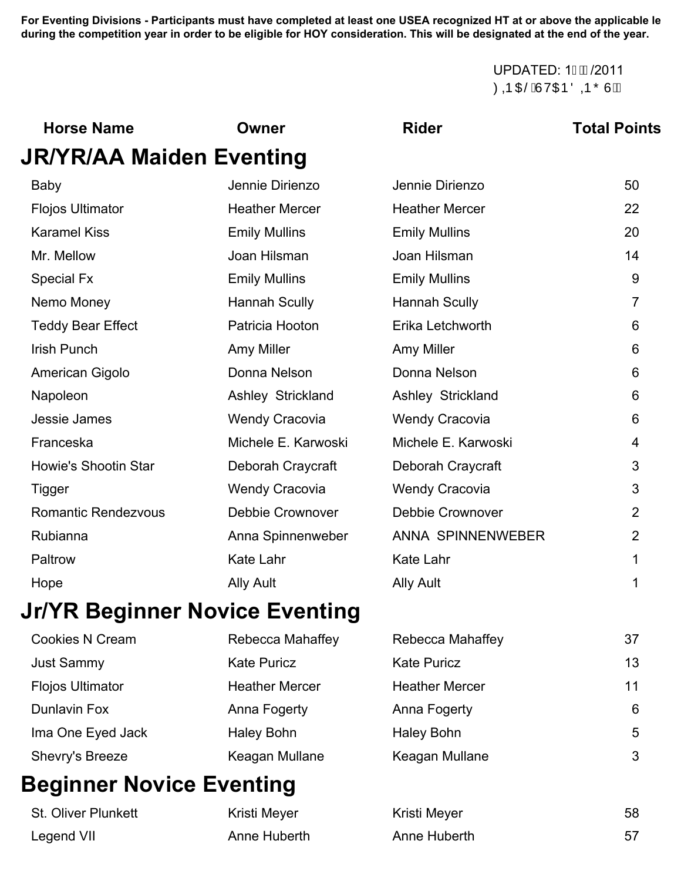#### **Awards consideration (FEI and MFS exempt). Participants listed in** *Italic Type* **are not yet eligible. At the end of the year, those** UPDATED: 1/2011 ØD O BÁJV O ĐÖ D Õ U ÁÁ

| <b>Horse Name</b>              | Owner                   | <b>Rider</b>            | <b>Total Points</b> |
|--------------------------------|-------------------------|-------------------------|---------------------|
| JR/YR/AA Maiden Eventing       |                         |                         |                     |
| <b>Baby</b>                    | Jennie Dirienzo         | Jennie Dirienzo         | 50                  |
| <b>Flojos Ultimator</b>        | <b>Heather Mercer</b>   | <b>Heather Mercer</b>   | 22                  |
| <b>Karamel Kiss</b>            | <b>Emily Mullins</b>    | <b>Emily Mullins</b>    | 20                  |
| Mr. Mellow                     | Joan Hilsman            | Joan Hilsman            | 14                  |
| <b>Special Fx</b>              | <b>Emily Mullins</b>    | <b>Emily Mullins</b>    | 9                   |
| Nemo Money                     | <b>Hannah Scully</b>    | <b>Hannah Scully</b>    | $\overline{7}$      |
| <b>Teddy Bear Effect</b>       | Patricia Hooton         | Erika Letchworth        | 6                   |
| <b>Irish Punch</b>             | Amy Miller              | Amy Miller              | 6                   |
| American Gigolo                | Donna Nelson            | Donna Nelson            | 6                   |
| Napoleon                       | Ashley Strickland       | Ashley Strickland       | 6                   |
| Jessie James                   | <b>Wendy Cracovia</b>   | <b>Wendy Cracovia</b>   | 6                   |
| Franceska                      | Michele E. Karwoski     | Michele E. Karwoski     | 4                   |
| <b>Howie's Shootin Star</b>    | Deborah Craycraft       | Deborah Craycraft       | 3                   |
| Tigger                         | <b>Wendy Cracovia</b>   | <b>Wendy Cracovia</b>   | 3                   |
| <b>Romantic Rendezvous</b>     | <b>Debbie Crownover</b> | <b>Debbie Crownover</b> | $\overline{2}$      |
| Rubianna                       | Anna Spinnenweber       | ANNA SPINNENWEBER       | $\overline{2}$      |
| Paltrow                        | Kate Lahr               | <b>Kate Lahr</b>        | 1                   |
| Hope                           | <b>Ally Ault</b>        | <b>Ally Ault</b>        | 1                   |
| Jr/YR Beainner Novice Eventina |                         |                         |                     |

# **Jr/YR Beginner Novice Eventing**

| <b>Cookies N Cream</b>  | Rebecca Mahaffey      | Rebecca Mahaffey      | 37 |
|-------------------------|-----------------------|-----------------------|----|
| <b>Just Sammy</b>       | <b>Kate Puricz</b>    | <b>Kate Puricz</b>    | 13 |
| <b>Flojos Ultimator</b> | <b>Heather Mercer</b> | <b>Heather Mercer</b> | 11 |
| <b>Dunlavin Fox</b>     | Anna Fogerty          | Anna Fogerty          | 6  |
| Ima One Eyed Jack       | Haley Bohn            | Haley Bohn            | 5  |
| Shevry's Breeze         | Keagan Mullane        | Keagan Mullane        | 3  |

# **Beginner Novice Eventing**

| <b>St. Oliver Plunkett</b> | Kristi Meyer | Kristi Meyer | 58 |
|----------------------------|--------------|--------------|----|
| Legend VII                 | Anne Huberth | Anne Huberth |    |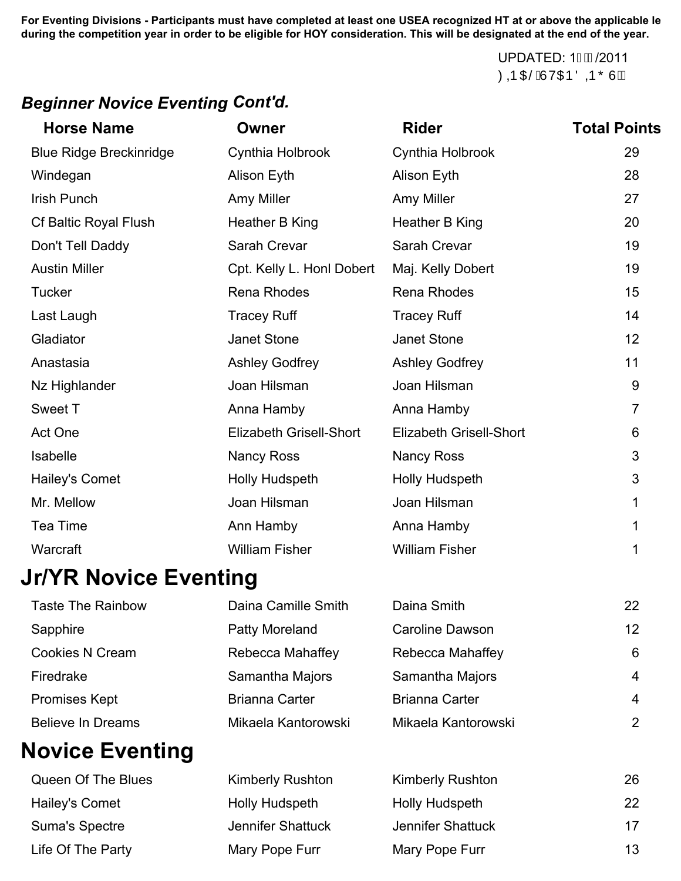> UPDATED: 1GD/2011 ØDD O BÁJVO EÐ Ö DØ Õ Ù ÂA

### *Beginner Novice Eventing Cont'd.*

| <b>Horse Name</b>              | <b>Owner</b>                   | <b>Rider</b>                   | <b>Total Points</b> |
|--------------------------------|--------------------------------|--------------------------------|---------------------|
| <b>Blue Ridge Breckinridge</b> | Cynthia Holbrook               | Cynthia Holbrook               | 29                  |
| Windegan                       | Alison Eyth                    | Alison Eyth                    | 28                  |
| <b>Irish Punch</b>             | Amy Miller                     | Amy Miller                     | 27                  |
| <b>Cf Baltic Royal Flush</b>   | Heather B King                 | Heather B King                 | 20                  |
| Don't Tell Daddy               | Sarah Crevar                   | Sarah Crevar                   | 19                  |
| <b>Austin Miller</b>           | Cpt. Kelly L. Honl Dobert      | Maj. Kelly Dobert              | 19                  |
| <b>Tucker</b>                  | Rena Rhodes                    | <b>Rena Rhodes</b>             | 15                  |
| Last Laugh                     | <b>Tracey Ruff</b>             | <b>Tracey Ruff</b>             | 14                  |
| Gladiator                      | Janet Stone                    | Janet Stone                    | 12                  |
| Anastasia                      | <b>Ashley Godfrey</b>          | <b>Ashley Godfrey</b>          | 11                  |
| Nz Highlander                  | Joan Hilsman                   | Joan Hilsman                   | 9                   |
| Sweet T                        | Anna Hamby                     | Anna Hamby                     | $\overline{7}$      |
| Act One                        | <b>Elizabeth Grisell-Short</b> | <b>Elizabeth Grisell-Short</b> | 6                   |
| Isabelle                       | <b>Nancy Ross</b>              | <b>Nancy Ross</b>              | 3                   |
| Hailey's Comet                 | Holly Hudspeth                 | Holly Hudspeth                 | 3                   |
| Mr. Mellow                     | Joan Hilsman                   | Joan Hilsman                   | 1                   |
| Tea Time                       | Ann Hamby                      | Anna Hamby                     |                     |
| Warcraft                       | <b>William Fisher</b>          | <b>William Fisher</b>          | 1                   |
| IrND Navios Eventing           |                                |                                |                     |

## **Jr/YR Novice Eventing**

| <b>Taste The Rainbow</b> | Daina Camille Smith   | Daina Smith            | 22             |
|--------------------------|-----------------------|------------------------|----------------|
| Sapphire                 | Patty Moreland        | <b>Caroline Dawson</b> | 12             |
| <b>Cookies N Cream</b>   | Rebecca Mahaffey      | Rebecca Mahaffey       | 6              |
| Firedrake                | Samantha Majors       | Samantha Majors        | $\overline{4}$ |
| <b>Promises Kept</b>     | <b>Brianna Carter</b> | <b>Brianna Carter</b>  | $\overline{4}$ |
| <b>Believe In Dreams</b> | Mikaela Kantorowski   | Mikaela Kantorowski    | 2              |
|                          |                       |                        |                |

# **Novice Eventing**

| Queen Of The Blues | <b>Kimberly Rushton</b> | <b>Kimberly Rushton</b> | 26 |
|--------------------|-------------------------|-------------------------|----|
| Hailey's Comet     | <b>Holly Hudspeth</b>   | <b>Holly Hudspeth</b>   | 22 |
| Suma's Spectre     | Jennifer Shattuck       | Jennifer Shattuck       | 17 |
| Life Of The Party  | Mary Pope Furr          | Mary Pope Furr          | 13 |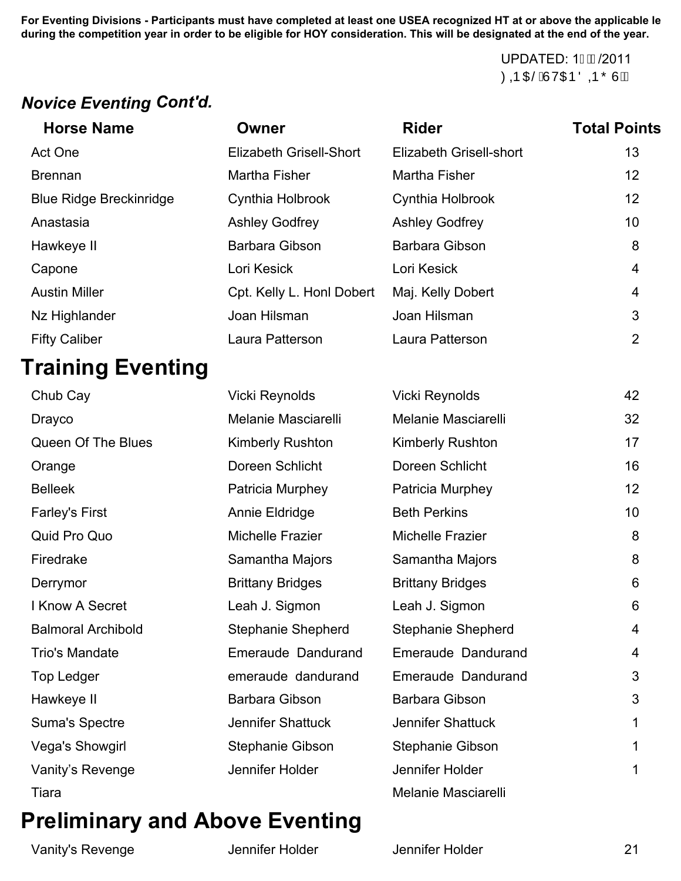> UPDATED: 1GD/2011 ØDE O BÁJVOIÐ Ö DÐ Õ Ù ÁÁ

### *Novice Eventing Cont'd.*

| <b>Horse Name</b>              | Owner                     | <b>Rider</b>            | <b>Total Points</b> |
|--------------------------------|---------------------------|-------------------------|---------------------|
| Act One                        | Elizabeth Grisell-Short   | Elizabeth Grisell-short | 13                  |
| <b>Brennan</b>                 | Martha Fisher             | Martha Fisher           | 12                  |
| <b>Blue Ridge Breckinridge</b> | Cynthia Holbrook          | Cynthia Holbrook        | 12                  |
| Anastasia                      | <b>Ashley Godfrey</b>     | <b>Ashley Godfrey</b>   | 10 <sup>1</sup>     |
| Hawkeye II                     | Barbara Gibson            | Barbara Gibson          | 8                   |
| Capone                         | Lori Kesick               | Lori Kesick             | 4                   |
| <b>Austin Miller</b>           | Cpt. Kelly L. Honl Dobert | Maj. Kelly Dobert       | 4                   |
| Nz Highlander                  | Joan Hilsman              | Joan Hilsman            | 3                   |
| <b>Fifty Caliber</b>           | Laura Patterson           | Laura Patterson         | 2                   |

# **Training Eventing**

| Chub Cay                  | Vicki Reynolds            | <b>Vicki Reynolds</b>     | 42 |
|---------------------------|---------------------------|---------------------------|----|
| <b>Drayco</b>             | Melanie Masciarelli       | Melanie Masciarelli       | 32 |
| Queen Of The Blues        | <b>Kimberly Rushton</b>   | <b>Kimberly Rushton</b>   | 17 |
| Orange                    | Doreen Schlicht           | Doreen Schlicht           | 16 |
| <b>Belleek</b>            | Patricia Murphey          | Patricia Murphey          | 12 |
| <b>Farley's First</b>     | Annie Eldridge            | <b>Beth Perkins</b>       | 10 |
| Quid Pro Quo              | Michelle Frazier          | Michelle Frazier          | 8  |
| Firedrake                 | Samantha Majors           | Samantha Majors           | 8  |
| Derrymor                  | <b>Brittany Bridges</b>   | <b>Brittany Bridges</b>   | 6  |
| I Know A Secret           | Leah J. Sigmon            | Leah J. Sigmon            | 6  |
| <b>Balmoral Archibold</b> | <b>Stephanie Shepherd</b> | <b>Stephanie Shepherd</b> | 4  |
| <b>Trio's Mandate</b>     | Emeraude Dandurand        | Emeraude Dandurand        | 4  |
| Top Ledger                | emeraude dandurand        | Emeraude Dandurand        | 3  |
| Hawkeye II                | Barbara Gibson            | Barbara Gibson            | 3  |
| <b>Suma's Spectre</b>     | <b>Jennifer Shattuck</b>  | <b>Jennifer Shattuck</b>  | 1  |
| Vega's Showgirl           | Stephanie Gibson          | <b>Stephanie Gibson</b>   | 1  |
| Vanity's Revenge          | Jennifer Holder           | Jennifer Holder           | 1  |
| Tiara                     |                           | Melanie Masciarelli       |    |

# **Preliminary and Above Eventing**

Vanity's Revenge The Summiter Holder Construction Construction Construction Construction Construction Construction Construction Construction Construction Construction Construction Construction Construction Construction Con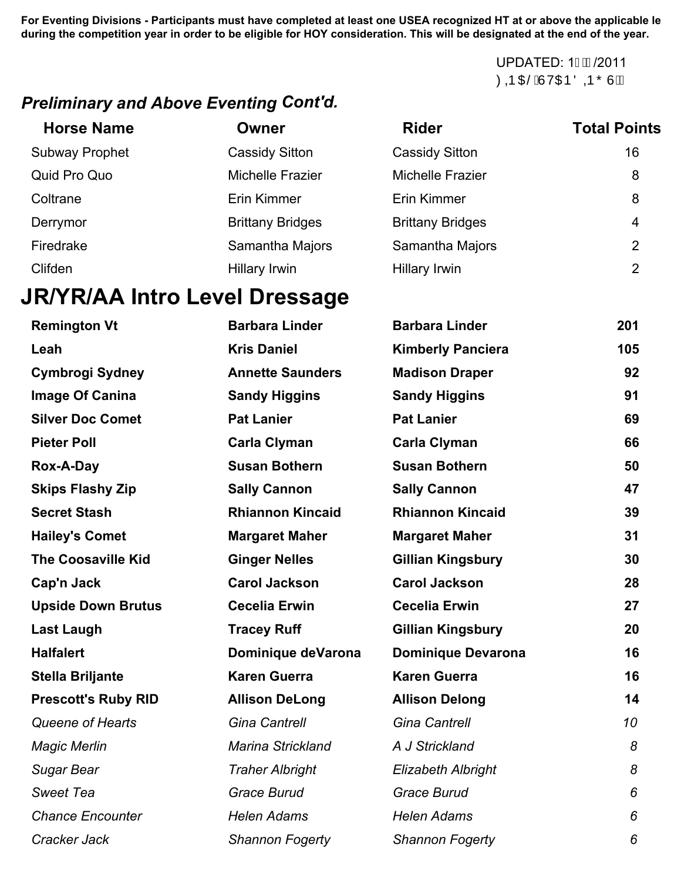**For Dressage Divisions - Participants listed in Bold Type have earned 14 or more points and are thereby eligible for HOY Awards consideration (FEI and MFS exempt). Participants listed in** *Italic Type* **are not yet eligible. At the end of the year, those** UPDATED: 1/2011 ØDR O BÁJVOIÐ Ö DR Õ Ù ÂA

### *Preliminary and Above Eventing Cont'd.*

| <b>Horse Name</b>     | Owner                   | <b>Rider</b>            | <b>Total Points</b> |
|-----------------------|-------------------------|-------------------------|---------------------|
| <b>Subway Prophet</b> | <b>Cassidy Sitton</b>   | <b>Cassidy Sitton</b>   | 16                  |
| Quid Pro Quo          | <b>Michelle Frazier</b> | Michelle Frazier        | 8                   |
| Coltrane              | Erin Kimmer             | Erin Kimmer             | 8                   |
| Derrymor              | <b>Brittany Bridges</b> | <b>Brittany Bridges</b> | 4                   |
| Firedrake             | Samantha Majors         | Samantha Majors         | 2                   |
| Clifden               | Hillary Irwin           | <b>Hillary Irwin</b>    | $\overline{2}$      |

# **JR/YR/AA Intro Level Dressage**

| <b>Remington Vt</b>        | <b>Barbara Linder</b>    | <b>Barbara Linder</b>     | 201       |
|----------------------------|--------------------------|---------------------------|-----------|
| Leah                       | <b>Kris Daniel</b>       | <b>Kimberly Panciera</b>  | 105       |
| <b>Cymbrogi Sydney</b>     | <b>Annette Saunders</b>  | <b>Madison Draper</b>     | 92        |
| Image Of Canina            | <b>Sandy Higgins</b>     | <b>Sandy Higgins</b>      | 91        |
| <b>Silver Doc Comet</b>    | <b>Pat Lanier</b>        | <b>Pat Lanier</b>         | 69        |
| <b>Pieter Poll</b>         | <b>Carla Clyman</b>      | <b>Carla Clyman</b>       | 66        |
| Rox-A-Day                  | <b>Susan Bothern</b>     | <b>Susan Bothern</b>      | 50        |
| <b>Skips Flashy Zip</b>    | <b>Sally Cannon</b>      | <b>Sally Cannon</b>       | 47        |
| <b>Secret Stash</b>        | <b>Rhiannon Kincaid</b>  | <b>Rhiannon Kincaid</b>   | 39        |
| <b>Hailey's Comet</b>      | <b>Margaret Maher</b>    | <b>Margaret Maher</b>     | 31        |
| <b>The Coosaville Kid</b>  | <b>Ginger Nelles</b>     | <b>Gillian Kingsbury</b>  | 30        |
| Cap'n Jack                 | <b>Carol Jackson</b>     | <b>Carol Jackson</b>      | 28        |
| <b>Upside Down Brutus</b>  | <b>Cecelia Erwin</b>     | <b>Cecelia Erwin</b>      | 27        |
| <b>Last Laugh</b>          | <b>Tracey Ruff</b>       | <b>Gillian Kingsbury</b>  | 20        |
| <b>Halfalert</b>           | Dominique deVarona       | <b>Dominique Devarona</b> | 16        |
| <b>Stella Briljante</b>    | <b>Karen Guerra</b>      | <b>Karen Guerra</b>       | 16        |
| <b>Prescott's Ruby RID</b> | <b>Allison DeLong</b>    | <b>Allison Delong</b>     | 14        |
| Queene of Hearts           | <b>Gina Cantrell</b>     | <b>Gina Cantrell</b>      | 10        |
| <b>Magic Merlin</b>        | <b>Marina Strickland</b> | A J Strickland            | 8         |
| Sugar Bear                 | <b>Traher Albright</b>   | <b>Elizabeth Albright</b> | $\pmb{8}$ |
| <b>Sweet Tea</b>           | <b>Grace Burud</b>       | <b>Grace Burud</b>        | 6         |
| <b>Chance Encounter</b>    | <b>Helen Adams</b>       | <b>Helen Adams</b>        | 6         |
| Cracker Jack               | <b>Shannon Fogerty</b>   | <b>Shannon Fogerty</b>    | 6         |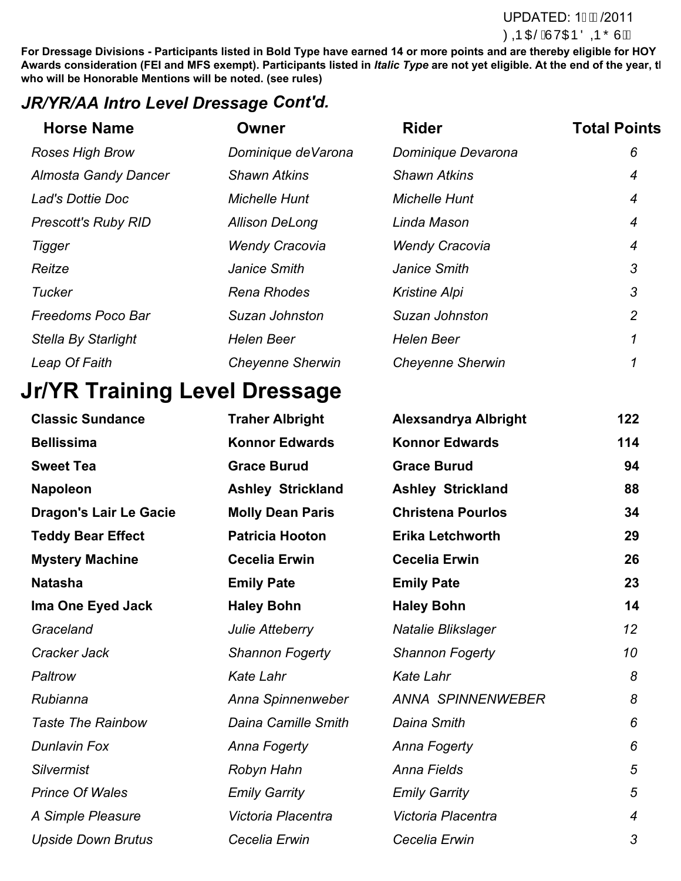#### UPDATED: 1GD/2011 **ØDD DË AJV OTE ÖDD Õ U AA**

**For Dressage Divisions - Participants listed in Bold Type have earned 14 or more points and are thereby eligible for HOY** Awards consideration (FEI and MFS exempt). Participants listed in *Italic Type* are not yet eligible. At the end of the year, tl **who will be Honorable Mentions will be noted. (see rules)**

### *JR/YR/AA Intro Level Dressage Cont'd.*

| <b>Horse Name</b>           | Owner                   | <b>Rider</b>            | <b>Total Points</b> |
|-----------------------------|-------------------------|-------------------------|---------------------|
| <b>Roses High Brow</b>      | Dominique de Varona     | Dominique Devarona      | 6                   |
| <b>Almosta Gandy Dancer</b> | <b>Shawn Atkins</b>     | <b>Shawn Atkins</b>     | 4                   |
| Lad's Dottie Doc            | <b>Michelle Hunt</b>    | <b>Michelle Hunt</b>    | 4                   |
| <b>Prescott's Ruby RID</b>  | <b>Allison DeLong</b>   | Linda Mason             | 4                   |
| <b>Tigger</b>               | <b>Wendy Cracovia</b>   | <b>Wendy Cracovia</b>   | 4                   |
| Reitze                      | Janice Smith            | Janice Smith            | 3                   |
| <b>Tucker</b>               | Rena Rhodes             | <b>Kristine Alpi</b>    | 3                   |
| <b>Freedoms Poco Bar</b>    | Suzan Johnston          | Suzan Johnston          | $\overline{2}$      |
| <b>Stella By Starlight</b>  | <b>Helen Beer</b>       | <b>Helen Beer</b>       | 1                   |
| Leap Of Faith               | <b>Cheyenne Sherwin</b> | <b>Cheyenne Sherwin</b> |                     |

# **Jr/YR Training Level Dressage**

| <b>Classic Sundance</b>       | <b>Traher Albright</b>   | <b>Alexsandrya Albright</b> | 122              |
|-------------------------------|--------------------------|-----------------------------|------------------|
| <b>Bellissima</b>             | <b>Konnor Edwards</b>    | <b>Konnor Edwards</b>       | 114              |
| <b>Sweet Tea</b>              | <b>Grace Burud</b>       | <b>Grace Burud</b>          | 94               |
| <b>Napoleon</b>               | <b>Ashley Strickland</b> | <b>Ashley Strickland</b>    | 88               |
| <b>Dragon's Lair Le Gacie</b> | <b>Molly Dean Paris</b>  | <b>Christena Pourlos</b>    | 34               |
| <b>Teddy Bear Effect</b>      | <b>Patricia Hooton</b>   | <b>Erika Letchworth</b>     | 29               |
| <b>Mystery Machine</b>        | <b>Cecelia Erwin</b>     | <b>Cecelia Erwin</b>        | 26               |
| <b>Natasha</b>                | <b>Emily Pate</b>        | <b>Emily Pate</b>           | 23               |
| Ima One Eyed Jack             | <b>Haley Bohn</b>        | <b>Haley Bohn</b>           | 14               |
| Graceland                     | Julie Atteberry          | Natalie Blikslager          | 12               |
| Cracker Jack                  | <b>Shannon Fogerty</b>   | <b>Shannon Fogerty</b>      | 10               |
| Paltrow                       | <b>Kate Lahr</b>         | <b>Kate Lahr</b>            | 8                |
| Rubianna                      | Anna Spinnenweber        | <b>ANNA SPINNENWEBER</b>    | 8                |
| <b>Taste The Rainbow</b>      | Daina Camille Smith      | Daina Smith                 | 6                |
| <b>Dunlavin Fox</b>           | Anna Fogerty             | Anna Fogerty                | 6                |
| <b>Silvermist</b>             | Robyn Hahn               | <b>Anna Fields</b>          | 5                |
| <b>Prince Of Wales</b>        | <b>Emily Garrity</b>     | <b>Emily Garrity</b>        | 5                |
| A Simple Pleasure             | Victoria Placentra       | Victoria Placentra          | $\boldsymbol{4}$ |
| <b>Upside Down Brutus</b>     | Cecelia Erwin            | Cecelia Erwin               | 3                |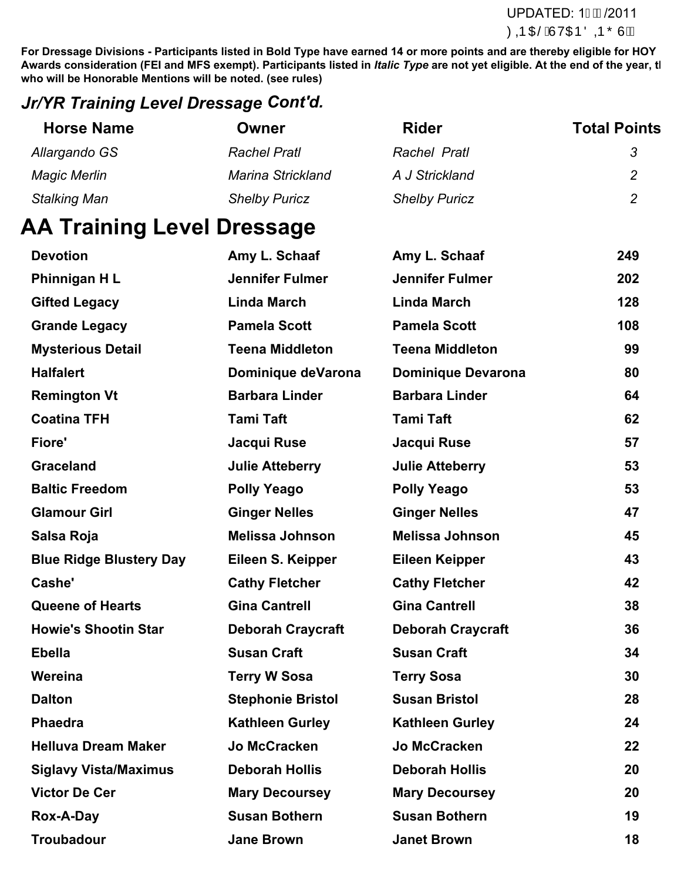**For Dressage Divisions - Participants listed in Bold Type have earned 14 or more points and are thereby eligible for HOY** Awards consideration (FEI and MFS exempt). Participants listed in *Italic Type* are not yet eligible. At the end of the year, tl **who will be Honorable Mentions will be noted. (see rules)**

### *Jr/YR Training Level Dressage Cont'd.*

| <b>Horse Name</b>   | Owner                    | <b>Rider</b>         | <b>Total Points</b> |
|---------------------|--------------------------|----------------------|---------------------|
| Allargando GS       | <b>Rachel Pratl</b>      | Rachel Pratl         | 3                   |
| <b>Magic Merlin</b> | <b>Marina Strickland</b> | A J Strickland       | 2                   |
| <b>Stalking Man</b> | <b>Shelby Puricz</b>     | <b>Shelby Puricz</b> | 2                   |

# **AA Training Level Dressage**

| <b>Devotion</b>                | Amy L. Schaaf            | Amy L. Schaaf             | 249 |
|--------------------------------|--------------------------|---------------------------|-----|
| Phinnigan HL                   | <b>Jennifer Fulmer</b>   | Jennifer Fulmer           | 202 |
| <b>Gifted Legacy</b>           | <b>Linda March</b>       | <b>Linda March</b>        | 128 |
| <b>Grande Legacy</b>           | <b>Pamela Scott</b>      | <b>Pamela Scott</b>       | 108 |
| <b>Mysterious Detail</b>       | <b>Teena Middleton</b>   | <b>Teena Middleton</b>    | 99  |
| <b>Halfalert</b>               | Dominique deVarona       | <b>Dominique Devarona</b> | 80  |
| <b>Remington Vt</b>            | <b>Barbara Linder</b>    | <b>Barbara Linder</b>     | 64  |
| <b>Coatina TFH</b>             | <b>Tami Taft</b>         | <b>Tami Taft</b>          | 62  |
| Fiore'                         | Jacqui Ruse              | Jacqui Ruse               | 57  |
| <b>Graceland</b>               | <b>Julie Atteberry</b>   | <b>Julie Atteberry</b>    | 53  |
| <b>Baltic Freedom</b>          | <b>Polly Yeago</b>       | <b>Polly Yeago</b>        | 53  |
| <b>Glamour Girl</b>            | <b>Ginger Nelles</b>     | <b>Ginger Nelles</b>      | 47  |
| Salsa Roja                     | <b>Melissa Johnson</b>   | <b>Melissa Johnson</b>    | 45  |
| <b>Blue Ridge Blustery Day</b> | Eileen S. Keipper        | <b>Eileen Keipper</b>     | 43  |
| Cashe'                         | <b>Cathy Fletcher</b>    | <b>Cathy Fletcher</b>     | 42  |
| <b>Queene of Hearts</b>        | <b>Gina Cantrell</b>     | <b>Gina Cantrell</b>      | 38  |
| <b>Howie's Shootin Star</b>    | <b>Deborah Craycraft</b> | <b>Deborah Craycraft</b>  | 36  |
| <b>Ebella</b>                  | <b>Susan Craft</b>       | <b>Susan Craft</b>        | 34  |
| Wereina                        | <b>Terry W Sosa</b>      | <b>Terry Sosa</b>         | 30  |
| <b>Dalton</b>                  | <b>Stephonie Bristol</b> | <b>Susan Bristol</b>      | 28  |
| <b>Phaedra</b>                 | <b>Kathleen Gurley</b>   | <b>Kathleen Gurley</b>    | 24  |
| <b>Helluva Dream Maker</b>     | Jo McCracken             | <b>Jo McCracken</b>       | 22  |
| <b>Siglavy Vista/Maximus</b>   | <b>Deborah Hollis</b>    | <b>Deborah Hollis</b>     | 20  |
| <b>Victor De Cer</b>           | <b>Mary Decoursey</b>    | <b>Mary Decoursey</b>     | 20  |
| Rox-A-Day                      | <b>Susan Bothern</b>     | <b>Susan Bothern</b>      | 19  |
| <b>Troubadour</b>              | <b>Jane Brown</b>        | <b>Janet Brown</b>        | 18  |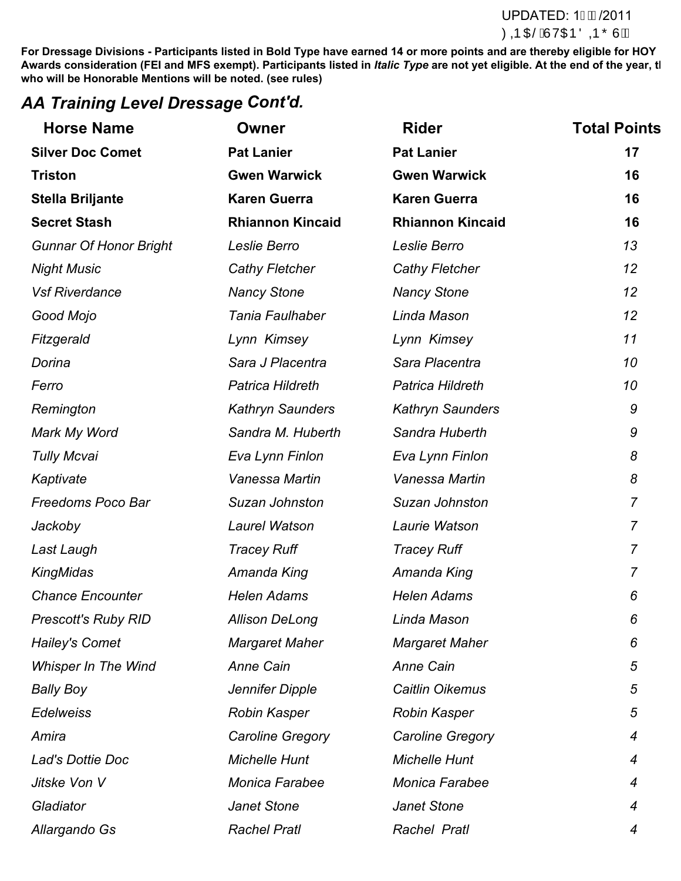#### UPDATED: 1GD/2011 ØDD O BÁJV O BÖ D Õ V JÄ

**For Dressage Divisions - Participants listed in Bold Type have earned 14 or more points and are thereby eligible for HOY** Awards consideration (FEI and MFS exempt). Participants listed in *Italic Type* are not yet eligible. At the end of the year, tl **who will be Honorable Mentions will be noted. (see rules)**

### *AA Training Level Dressage Cont'd.*

| <b>Horse Name</b>             | <b>Owner</b>            | <b>Rider</b>            | <b>Total Points</b> |
|-------------------------------|-------------------------|-------------------------|---------------------|
| <b>Silver Doc Comet</b>       | <b>Pat Lanier</b>       | <b>Pat Lanier</b>       | 17                  |
| <b>Triston</b>                | <b>Gwen Warwick</b>     | <b>Gwen Warwick</b>     | 16                  |
| <b>Stella Briljante</b>       | <b>Karen Guerra</b>     | <b>Karen Guerra</b>     | 16                  |
| <b>Secret Stash</b>           | <b>Rhiannon Kincaid</b> | <b>Rhiannon Kincaid</b> | 16                  |
| <b>Gunnar Of Honor Bright</b> | Leslie Berro            | Leslie Berro            | 13                  |
| <b>Night Music</b>            | Cathy Fletcher          | <b>Cathy Fletcher</b>   | 12                  |
| <b>Vsf Riverdance</b>         | <b>Nancy Stone</b>      | <b>Nancy Stone</b>      | 12                  |
| Good Mojo                     | Tania Faulhaber         | Linda Mason             | 12                  |
| Fitzgerald                    | Lynn Kimsey             | Lynn Kimsey             | 11                  |
| Dorina                        | Sara J Placentra        | Sara Placentra          | 10                  |
| Ferro                         | Patrica Hildreth        | Patrica Hildreth        | 10                  |
| Remington                     | <b>Kathryn Saunders</b> | <b>Kathryn Saunders</b> | 9                   |
| Mark My Word                  | Sandra M. Huberth       | Sandra Huberth          | 9                   |
| <b>Tully Mcvai</b>            | Eva Lynn Finlon         | Eva Lynn Finlon         | 8                   |
| Kaptivate                     | Vanessa Martin          | Vanessa Martin          | 8                   |
| Freedoms Poco Bar             | Suzan Johnston          | Suzan Johnston          | $\overline{7}$      |
| Jackoby                       | Laurel Watson           | Laurie Watson           | $\overline{7}$      |
| Last Laugh                    | <b>Tracey Ruff</b>      | <b>Tracey Ruff</b>      | $\overline{7}$      |
| KingMidas                     | Amanda King             | Amanda King             | 7                   |
| <b>Chance Encounter</b>       | <b>Helen Adams</b>      | <b>Helen Adams</b>      | 6                   |
| <b>Prescott's Ruby RID</b>    | <b>Allison DeLong</b>   | Linda Mason             | 6                   |
| Hailey's Comet                | <b>Margaret Maher</b>   | <b>Margaret Maher</b>   | 6                   |
| <b>Whisper In The Wind</b>    | <b>Anne Cain</b>        | <b>Anne Cain</b>        | 5                   |
| Bally Boy                     | Jennifer Dipple         | Caitlin Oikemus         | 5                   |
| <b>Edelweiss</b>              | <b>Robin Kasper</b>     | <b>Robin Kasper</b>     | 5                   |
| Amira                         | Caroline Gregory        | Caroline Gregory        | $\overline{4}$      |
| Lad's Dottie Doc              | <b>Michelle Hunt</b>    | <b>Michelle Hunt</b>    | $\overline{4}$      |
| Jitske Von V                  | Monica Farabee          | <b>Monica Farabee</b>   | 4                   |
| Gladiator                     | Janet Stone             | <b>Janet Stone</b>      | 4                   |
| Allargando Gs                 | <b>Rachel Pratl</b>     | Rachel Pratl            | 4                   |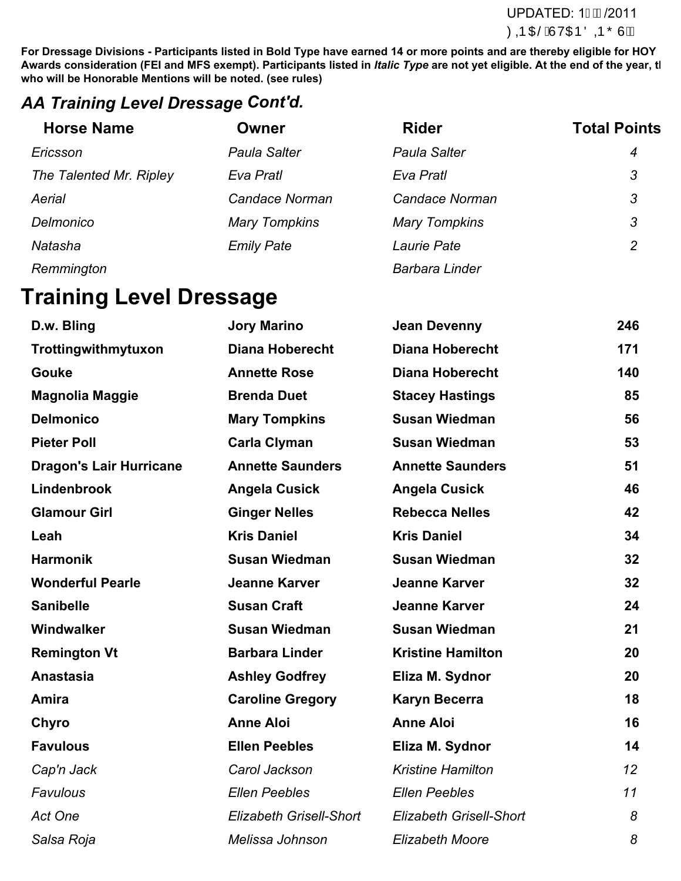**For Dressage Divisions - Participants listed in Bold Type have earned 14 or more points and are thereby eligible for HOY** Awards consideration (FEI and MFS exempt). Participants listed in *Italic Type* are not yet eligible. At the end of the year, tl **who will be Honorable Mentions will be noted. (see rules)**

### *AA Training Level Dressage Cont'd.*

| <b>Horse Name</b>       | Owner                | <b>Rider</b>         | <b>Total Points</b> |
|-------------------------|----------------------|----------------------|---------------------|
| Ericsson                | <b>Paula Salter</b>  | <b>Paula Salter</b>  | $\overline{4}$      |
| The Talented Mr. Ripley | Eva Pratl            | Eva Pratl            | 3                   |
| Aerial                  | Candace Norman       | Candace Norman       | 3                   |
| Delmonico               | <b>Mary Tompkins</b> | <b>Mary Tompkins</b> | 3                   |
| Natasha                 | <b>Emily Pate</b>    | Laurie Pate          | $\overline{2}$      |
|                         |                      |                      |                     |

*Remmington Barbara Linder*

# **Training Level Dressage**

| D.w. Bling                     | <b>Jory Marino</b>             | <b>Jean Devenny</b>            | 246 |
|--------------------------------|--------------------------------|--------------------------------|-----|
| Trottingwithmytuxon            | <b>Diana Hoberecht</b>         | <b>Diana Hoberecht</b>         | 171 |
| <b>Gouke</b>                   | <b>Annette Rose</b>            | <b>Diana Hoberecht</b>         | 140 |
| <b>Magnolia Maggie</b>         | <b>Brenda Duet</b>             | <b>Stacey Hastings</b>         | 85  |
| <b>Delmonico</b>               | <b>Mary Tompkins</b>           | <b>Susan Wiedman</b>           | 56  |
| <b>Pieter Poll</b>             | <b>Carla Clyman</b>            | <b>Susan Wiedman</b>           | 53  |
| <b>Dragon's Lair Hurricane</b> | <b>Annette Saunders</b>        | <b>Annette Saunders</b>        | 51  |
| Lindenbrook                    | <b>Angela Cusick</b>           | <b>Angela Cusick</b>           | 46  |
| <b>Glamour Girl</b>            | <b>Ginger Nelles</b>           | <b>Rebecca Nelles</b>          | 42  |
| Leah                           | <b>Kris Daniel</b>             | <b>Kris Daniel</b>             | 34  |
| <b>Harmonik</b>                | <b>Susan Wiedman</b>           | <b>Susan Wiedman</b>           | 32  |
| <b>Wonderful Pearle</b>        | <b>Jeanne Karver</b>           | <b>Jeanne Karver</b>           | 32  |
| <b>Sanibelle</b>               | <b>Susan Craft</b>             | <b>Jeanne Karver</b>           | 24  |
| Windwalker                     | <b>Susan Wiedman</b>           | <b>Susan Wiedman</b>           | 21  |
| <b>Remington Vt</b>            | <b>Barbara Linder</b>          | <b>Kristine Hamilton</b>       | 20  |
| <b>Anastasia</b>               | <b>Ashley Godfrey</b>          | Eliza M. Sydnor                | 20  |
| Amira                          | <b>Caroline Gregory</b>        | <b>Karyn Becerra</b>           | 18  |
| Chyro                          | <b>Anne Aloi</b>               | <b>Anne Aloi</b>               | 16  |
| <b>Favulous</b>                | <b>Ellen Peebles</b>           | Eliza M. Sydnor                | 14  |
| Cap'n Jack                     | Carol Jackson                  | <b>Kristine Hamilton</b>       | 12  |
| Favulous                       | <b>Ellen Peebles</b>           | <b>Ellen Peebles</b>           | 11  |
| <b>Act One</b>                 | <b>Elizabeth Grisell-Short</b> | <b>Elizabeth Grisell-Short</b> | 8   |
| Salsa Roja                     | Melissa Johnson                | <b>Elizabeth Moore</b>         | 8   |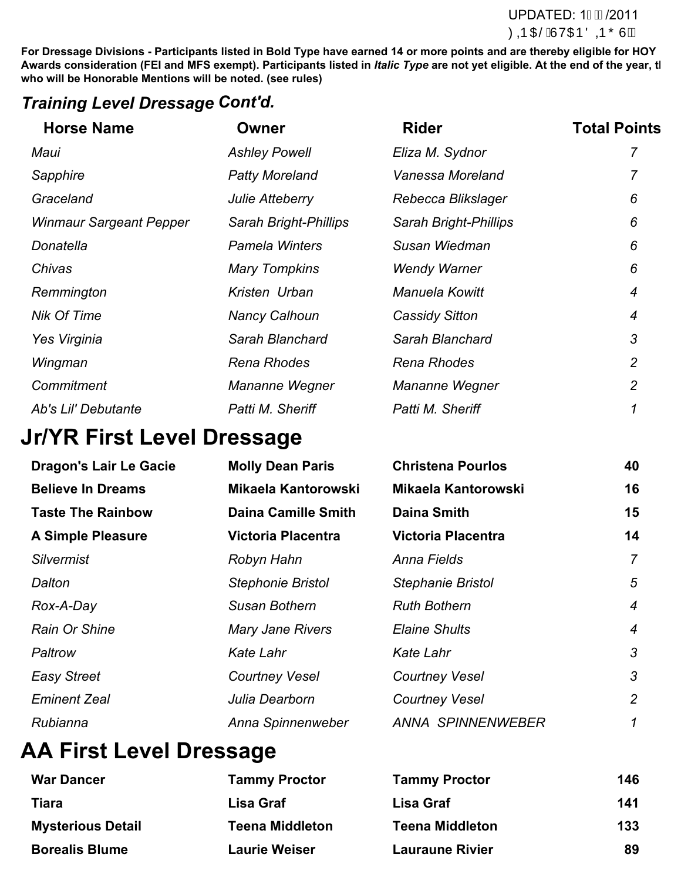#### UPDATED: 1GD/2011 **ØDD OFSÁJ VOTE ÖDD Ő Ú Á Á**

**For Dressage Divisions - Participants listed in Bold Type have earned 14 or more points and are thereby eligible for HOY** Awards consideration (FEI and MFS exempt). Participants listed in *Italic Type* are not yet eligible. At the end of the year, tl **who will be Honorable Mentions will be noted. (see rules)**

### *Training Level Dressage Cont'd.*

| <b>Horse Name</b>              | Owner                  | <b>Rider</b>                 | <b>Total Points</b> |
|--------------------------------|------------------------|------------------------------|---------------------|
| Maui                           | <b>Ashley Powell</b>   | Eliza M. Sydnor              |                     |
| Sapphire                       | <b>Patty Moreland</b>  | Vanessa Moreland             |                     |
| Graceland                      | <b>Julie Atteberry</b> | Rebecca Blikslager           | 6                   |
| <b>Winmaur Sargeant Pepper</b> | Sarah Bright-Phillips  | <b>Sarah Bright-Phillips</b> | 6                   |
| Donatella                      | <b>Pamela Winters</b>  | Susan Wiedman                | 6                   |
| Chivas                         | <b>Mary Tompkins</b>   | <b>Wendy Warner</b>          | 6                   |
| Remmington                     | Kristen Urban          | <b>Manuela Kowitt</b>        | 4                   |
| <b>Nik Of Time</b>             | <b>Nancy Calhoun</b>   | <b>Cassidy Sitton</b>        | 4                   |
| Yes Virginia                   | Sarah Blanchard        | Sarah Blanchard              | 3                   |
| Wingman                        | Rena Rhodes            | Rena Rhodes                  | $\overline{2}$      |
| Commitment                     | Mananne Wegner         | Mananne Wegner               | 2                   |
| Ab's Lil' Debutante            | Patti M. Sheriff       | Patti M. Sheriff             |                     |
|                                |                        |                              |                     |

# **Jr/YR First Level Dressage**

| <b>Dragon's Lair Le Gacie</b> | <b>Molly Dean Paris</b>    | <b>Christena Pourlos</b>   | 40               |
|-------------------------------|----------------------------|----------------------------|------------------|
| <b>Believe In Dreams</b>      | <b>Mikaela Kantorowski</b> | <b>Mikaela Kantorowski</b> | 16               |
| <b>Taste The Rainbow</b>      | <b>Daina Camille Smith</b> | <b>Daina Smith</b>         | 15               |
| <b>A Simple Pleasure</b>      | <b>Victoria Placentra</b>  | <b>Victoria Placentra</b>  | 14               |
| <b>Silvermist</b>             | Robyn Hahn                 | Anna Fields                | $\overline{7}$   |
| Dalton                        | <b>Stephonie Bristol</b>   | <b>Stephanie Bristol</b>   | 5                |
| Rox-A-Day                     | Susan Bothern              | <b>Ruth Bothern</b>        | $\overline{4}$   |
| Rain Or Shine                 | <b>Mary Jane Rivers</b>    | <b>Elaine Shults</b>       | $\boldsymbol{4}$ |
| Paltrow                       | <b>Kate Lahr</b>           | Kate Lahr                  | 3                |
| <b>Easy Street</b>            | <b>Courtney Vesel</b>      | <b>Courtney Vesel</b>      | 3                |
| <b>Eminent Zeal</b>           | Julia Dearborn             | <b>Courtney Vesel</b>      | $\overline{2}$   |
| Rubianna                      | Anna Spinnenweber          | <b>ANNA SPINNENWEBER</b>   | $\mathcal I$     |

# **AA First Level Dressage**

| <b>War Dancer</b>        | <b>Tammy Proctor</b>   | <b>Tammy Proctor</b>   | 146 |
|--------------------------|------------------------|------------------------|-----|
| <b>Tiara</b>             | Lisa Graf              | Lisa Graf              | 141 |
| <b>Mysterious Detail</b> | <b>Teena Middleton</b> | <b>Teena Middleton</b> | 133 |
| <b>Borealis Blume</b>    | <b>Laurie Weiser</b>   | <b>Lauraune Rivier</b> | 89  |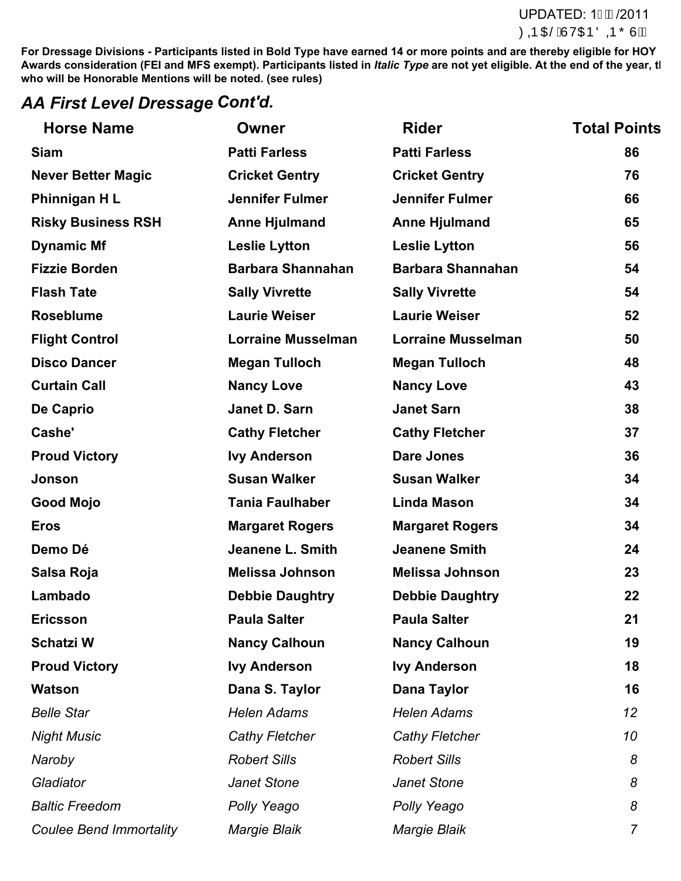#### **For Eventing Divisions - Participants must have completed at least one USEA recognized HT at or above the applicable level during the competition of the competition of the end of the consideration of the end of the year.** UPDATED: 1GD/2011

**For Dressage Divisions - Participants listed in Bold Type have earned 14 or more points and are thereby eligible for HOY** Awards consideration (FEI and MFS exempt). Participants listed in *Italic Type* are not yet eligible. At the end of the year, tl **who will be Honorable Mentions will be noted. (see rules)**

### *AA First Level Dressage Cont'd.*

| <b>Horse Name</b>              | <b>Owner</b>              | <b>Rider</b>              | <b>Total Points</b> |
|--------------------------------|---------------------------|---------------------------|---------------------|
| <b>Siam</b>                    | <b>Patti Farless</b>      | <b>Patti Farless</b>      | 86                  |
| <b>Never Better Magic</b>      | <b>Cricket Gentry</b>     | <b>Cricket Gentry</b>     | 76                  |
| Phinnigan HL                   | <b>Jennifer Fulmer</b>    | <b>Jennifer Fulmer</b>    | 66                  |
| <b>Risky Business RSH</b>      | <b>Anne Hjulmand</b>      | <b>Anne Hjulmand</b>      | 65                  |
| <b>Dynamic Mf</b>              | <b>Leslie Lytton</b>      | <b>Leslie Lytton</b>      | 56                  |
| <b>Fizzie Borden</b>           | <b>Barbara Shannahan</b>  | <b>Barbara Shannahan</b>  | 54                  |
| <b>Flash Tate</b>              | <b>Sally Vivrette</b>     | <b>Sally Vivrette</b>     | 54                  |
| <b>Roseblume</b>               | <b>Laurie Weiser</b>      | <b>Laurie Weiser</b>      | 52                  |
| <b>Flight Control</b>          | <b>Lorraine Musselman</b> | <b>Lorraine Musselman</b> | 50                  |
| <b>Disco Dancer</b>            | <b>Megan Tulloch</b>      | <b>Megan Tulloch</b>      | 48                  |
| <b>Curtain Call</b>            | <b>Nancy Love</b>         | <b>Nancy Love</b>         | 43                  |
| De Caprio                      | Janet D. Sarn             | <b>Janet Sarn</b>         | 38                  |
| Cashe'                         | <b>Cathy Fletcher</b>     | <b>Cathy Fletcher</b>     | 37                  |
| <b>Proud Victory</b>           | <b>Ivy Anderson</b>       | <b>Dare Jones</b>         | 36                  |
| Jonson                         | <b>Susan Walker</b>       | <b>Susan Walker</b>       | 34                  |
| <b>Good Mojo</b>               | <b>Tania Faulhaber</b>    | <b>Linda Mason</b>        | 34                  |
| <b>Eros</b>                    | <b>Margaret Rogers</b>    | <b>Margaret Rogers</b>    | 34                  |
| Demo Dé                        | <b>Jeanene L. Smith</b>   | <b>Jeanene Smith</b>      | 24                  |
| Salsa Roja                     | <b>Melissa Johnson</b>    | <b>Melissa Johnson</b>    | 23                  |
| Lambado                        | <b>Debbie Daughtry</b>    | <b>Debbie Daughtry</b>    | 22                  |
| <b>Ericsson</b>                | <b>Paula Salter</b>       | <b>Paula Salter</b>       | 21                  |
| <b>Schatzi W</b>               | <b>Nancy Calhoun</b>      | <b>Nancy Calhoun</b>      | 19                  |
| <b>Proud Victory</b>           | <b>Ivy Anderson</b>       | <b>Ivy Anderson</b>       | 18                  |
| <b>Watson</b>                  | Dana S. Taylor            | Dana Taylor               | 16                  |
| <b>Belle Star</b>              | <b>Helen Adams</b>        | <b>Helen Adams</b>        | 12                  |
| <b>Night Music</b>             | Cathy Fletcher            | <b>Cathy Fletcher</b>     | 10                  |
| Naroby                         | <b>Robert Sills</b>       | <b>Robert Sills</b>       | 8                   |
| Gladiator                      | Janet Stone               | Janet Stone               | 8                   |
| <b>Baltic Freedom</b>          | Polly Yeago               | Polly Yeago               | 8                   |
| <b>Coulee Bend Immortality</b> | Margie Blaik              | <b>Margie Blaik</b>       | $\overline{7}$      |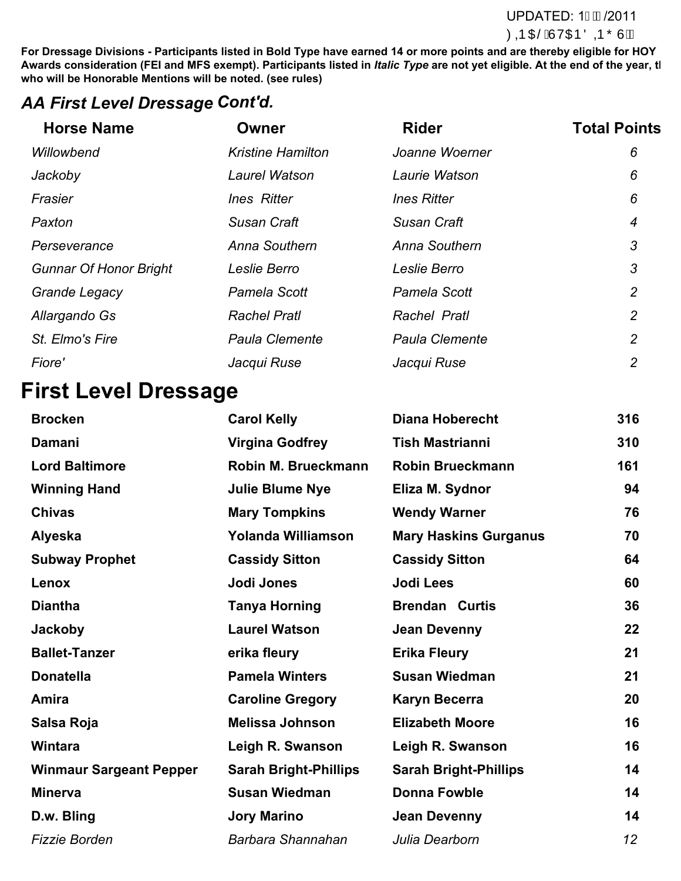#### **For Eventing Lines at least**  $\mathsf{UPDATED: 1G\!D}$  **/2011** during the competition of the competition  $\partial \mathbf{Q} \mathbf{p} \, \mathrm{C} \mathbf{E} \hat{\mathbf{A}}$ l'V $\mathrm{C} \mathbf{E} \tilde{\mathbf{Q}} \mathbf{p} \, \tilde{\mathbf{O}} \mathbf{U} \hat{\mathbf{A}}$

**For Dressage Divisions - Participants listed in Bold Type have earned 14 or more points and are thereby eligible for HOY** Awards consideration (FEI and MFS exempt). Participants listed in *Italic Type* are not yet eligible. At the end of the year, tl **who will be Honorable Mentions will be noted. (see rules)**

## *AA First Level Dressage Cont'd.*

| <b>Horse Name</b>             | Owner                    | <b>Rider</b>          | <b>Total Points</b> |
|-------------------------------|--------------------------|-----------------------|---------------------|
| Willowbend                    | <b>Kristine Hamilton</b> | Joanne Woerner        | 6                   |
| Jackoby                       | Laurel Watson            | Laurie Watson         | 6                   |
| Frasier                       | <b>Ines Ritter</b>       | <b>Ines Ritter</b>    | 6                   |
| Paxton                        | <b>Susan Craft</b>       | <b>Susan Craft</b>    | 4                   |
| Perseverance                  | Anna Southern            | Anna Southern         | 3                   |
| <b>Gunnar Of Honor Bright</b> | Leslie Berro             | Leslie Berro          | 3                   |
| <b>Grande Legacy</b>          | Pamela Scott             | Pamela Scott          | $\overline{2}$      |
| Allargando Gs                 | <b>Rachel Pratl</b>      | Rachel Pratl          | 2                   |
| St. Elmo's Fire               | <b>Paula Clemente</b>    | <b>Paula Clemente</b> | $\overline{2}$      |
| Fiore'                        | Jacqui Ruse              | Jacqui Ruse           | 2                   |
|                               |                          |                       |                     |

# **First Level Dressage**

| <b>Brocken</b>                 | <b>Carol Kelly</b>           | <b>Diana Hoberecht</b>       | 316 |
|--------------------------------|------------------------------|------------------------------|-----|
| <b>Damani</b>                  | <b>Virgina Godfrey</b>       | <b>Tish Mastrianni</b>       | 310 |
| <b>Lord Baltimore</b>          | Robin M. Brueckmann          | <b>Robin Brueckmann</b>      | 161 |
| <b>Winning Hand</b>            | <b>Julie Blume Nye</b>       | Eliza M. Sydnor              | 94  |
| <b>Chivas</b>                  | <b>Mary Tompkins</b>         | <b>Wendy Warner</b>          | 76  |
| <b>Alyeska</b>                 | Yolanda Williamson           | <b>Mary Haskins Gurganus</b> | 70  |
| <b>Subway Prophet</b>          | <b>Cassidy Sitton</b>        | <b>Cassidy Sitton</b>        | 64  |
| Lenox                          | Jodi Jones                   | <b>Jodi Lees</b>             | 60  |
| <b>Diantha</b>                 | <b>Tanya Horning</b>         | <b>Brendan Curtis</b>        | 36  |
| <b>Jackoby</b>                 | <b>Laurel Watson</b>         | <b>Jean Devenny</b>          | 22  |
| <b>Ballet-Tanzer</b>           | erika fleury                 | <b>Erika Fleury</b>          | 21  |
| <b>Donatella</b>               | <b>Pamela Winters</b>        | <b>Susan Wiedman</b>         | 21  |
| Amira                          | <b>Caroline Gregory</b>      | <b>Karyn Becerra</b>         | 20  |
| Salsa Roja                     | <b>Melissa Johnson</b>       | <b>Elizabeth Moore</b>       | 16  |
| <b>Wintara</b>                 | Leigh R. Swanson             | Leigh R. Swanson             | 16  |
| <b>Winmaur Sargeant Pepper</b> | <b>Sarah Bright-Phillips</b> | <b>Sarah Bright-Phillips</b> | 14  |
| <b>Minerva</b>                 | <b>Susan Wiedman</b>         | <b>Donna Fowble</b>          | 14  |
| D.w. Bling                     | <b>Jory Marino</b>           | <b>Jean Devenny</b>          | 14  |
| <b>Fizzie Borden</b>           | Barbara Shannahan            | Julia Dearborn               | 12  |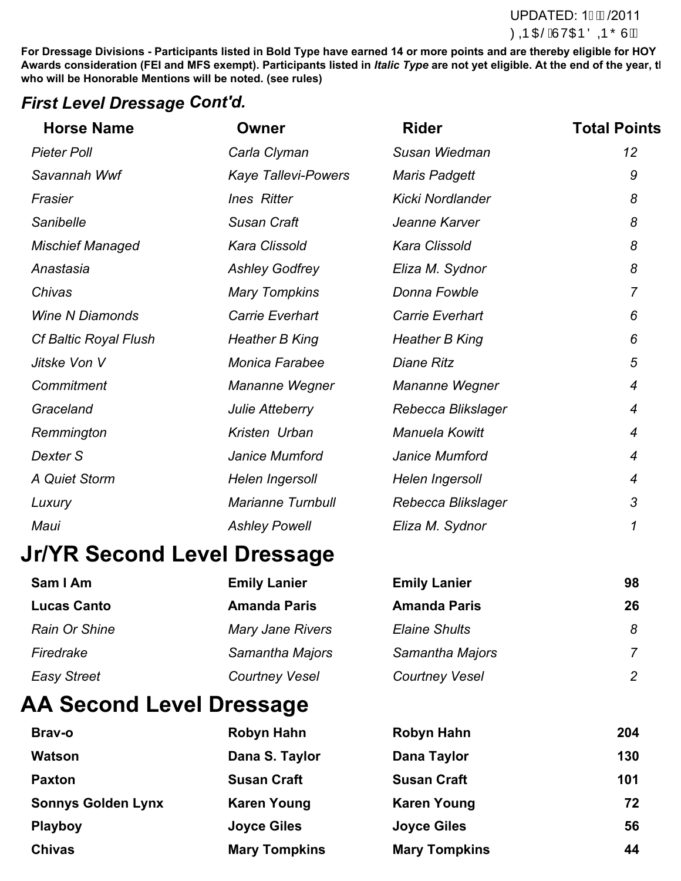#### **For Divisions - Participants must have completed at least one USEA recognization** during the competition of the competition  $\partial \mathbf{Q}$  **consideration. The end of the end of the year.** UPDATED: 1GD / 2011

**For Dressage Divisions - Participants listed in Bold Type have earned 14 or more points and are thereby eligible for HOY** Awards consideration (FEI and MFS exempt). Participants listed in *Italic Type* are not yet eligible. At the end of the year, tl **who will be Honorable Mentions will be noted. (see rules)**

### *First Level Dressage Cont'd.*

| <b>Horse Name</b>            | <b>Owner</b>               | <b>Rider</b>            | <b>Total Points</b> |
|------------------------------|----------------------------|-------------------------|---------------------|
| <b>Pieter Poll</b>           | Carla Clyman               | Susan Wiedman           | 12                  |
| Savannah Wwf                 | <b>Kaye Tallevi-Powers</b> | <b>Maris Padgett</b>    | 9                   |
| Frasier                      | <b>Ines Ritter</b>         | <b>Kicki Nordlander</b> | 8                   |
| Sanibelle                    | <b>Susan Craft</b>         | Jeanne Karver           | 8                   |
| <b>Mischief Managed</b>      | Kara Clissold              | Kara Clissold           | 8                   |
| Anastasia                    | <b>Ashley Godfrey</b>      | Eliza M. Sydnor         | 8                   |
| Chivas                       | <b>Mary Tompkins</b>       | Donna Fowble            | $\overline{7}$      |
| <b>Wine N Diamonds</b>       | Carrie Everhart            | Carrie Everhart         | 6                   |
| <b>Cf Baltic Royal Flush</b> | Heather B King             | <b>Heather B King</b>   | 6                   |
| Jitske Von V                 | <b>Monica Farabee</b>      | <b>Diane Ritz</b>       | 5                   |
| Commitment                   | Mananne Wegner             | Mananne Wegner          | $\boldsymbol{4}$    |
| Graceland                    | Julie Atteberry            | Rebecca Blikslager      | $\boldsymbol{4}$    |
| Remmington                   | Kristen Urban              | Manuela Kowitt          | $\overline{4}$      |
| Dexter S                     | Janice Mumford             | Janice Mumford          | $\overline{4}$      |
| A Quiet Storm                | Helen Ingersoll            | Helen Ingersoll         | 4                   |
| Luxury                       | <b>Marianne Turnbull</b>   | Rebecca Blikslager      | 3                   |
| Maui                         | <b>Ashley Powell</b>       | Eliza M. Sydnor         | 1                   |

# **Jr/YR Second Level Dressage**

| Sam I Am           | <b>Emily Lanier</b>     | <b>Emily Lanier</b>   | 98             |
|--------------------|-------------------------|-----------------------|----------------|
| <b>Lucas Canto</b> | <b>Amanda Paris</b>     | <b>Amanda Paris</b>   | 26             |
| Rain Or Shine      | <b>Mary Jane Rivers</b> | <b>Elaine Shults</b>  | 8              |
| Firedrake          | Samantha Majors         | Samantha Majors       | $\overline{7}$ |
| <b>Easy Street</b> | <b>Courtney Vesel</b>   | <b>Courtney Vesel</b> | $\overline{2}$ |

# **AA Second Level Dressage**

| Brav-o                    | Robyn Hahn           | Robyn Hahn           | 204 |
|---------------------------|----------------------|----------------------|-----|
| <b>Watson</b>             | Dana S. Taylor       | Dana Taylor          | 130 |
| <b>Paxton</b>             | <b>Susan Craft</b>   | <b>Susan Craft</b>   | 101 |
| <b>Sonnys Golden Lynx</b> | <b>Karen Young</b>   | <b>Karen Young</b>   | 72  |
| <b>Playboy</b>            | <b>Joyce Giles</b>   | <b>Joyce Giles</b>   | 56  |
| <b>Chivas</b>             | <b>Mary Tompkins</b> | <b>Mary Tompkins</b> | 44  |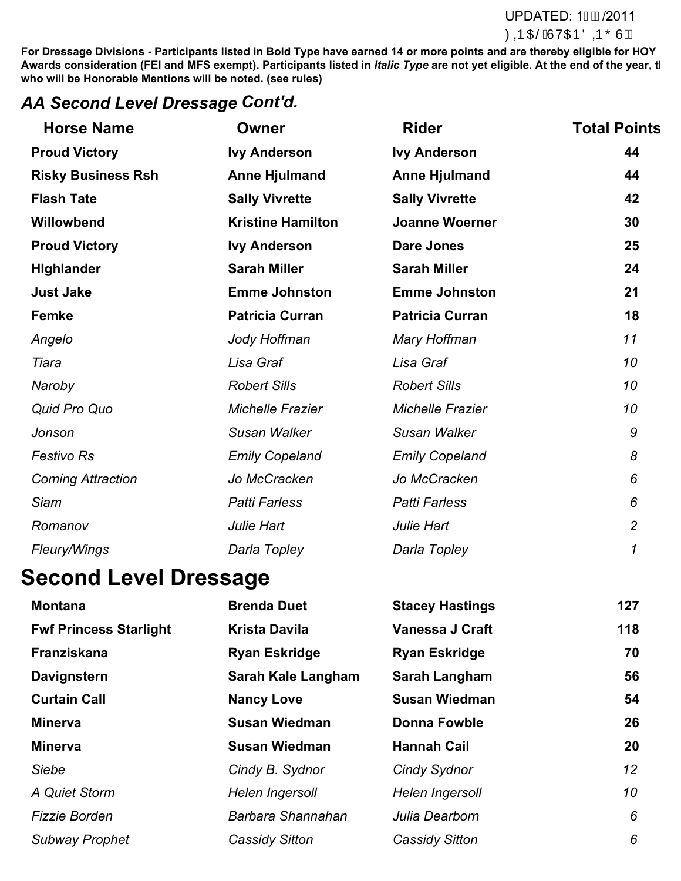#### **For Eventing Lines at least**  $\mathsf{CP}$  **Divisions - Participants must have the applicable level at**  $\mathsf{CP}$  **Divisions -**  $\mathsf{CP}$  **Divisions -**  $\mathsf{CP}$  **Divisions -**  $\mathsf{CP}$  **Divisions -**  $\mathsf{CP}$  **Divisions -**  $\mathsf{CP}$  **Divisions** during the competition of the competition  $\partial \mathbf{Q} \mathbf{p}$  consideration. The end of the  $\partial \mathbf{Q} \mathbf{p}$  consideration. The end of the  $\partial \mathbf{Q} \mathbf{p}$  consideration. The end of the year.

**For Dressage Divisions - Participants listed in Bold Type have earned 14 or more points and are thereby eligible for HOY** Awards consideration (FEI and MFS exempt). Participants listed in *Italic Type* are not yet eligible. At the end of the year, tl **who will be Honorable Mentions will be noted. (see rules)**

## *AA Second Level Dressage Cont'd.*

| <b>Horse Name</b>         | <b>Owner</b>             | <b>Rider</b>            | <b>Total Points</b> |
|---------------------------|--------------------------|-------------------------|---------------------|
| <b>Proud Victory</b>      | <b>Ivy Anderson</b>      | <b>Ivy Anderson</b>     | 44                  |
| <b>Risky Business Rsh</b> | <b>Anne Hjulmand</b>     | <b>Anne Hjulmand</b>    | 44                  |
| <b>Flash Tate</b>         | <b>Sally Vivrette</b>    | <b>Sally Vivrette</b>   | 42                  |
| Willowbend                | <b>Kristine Hamilton</b> | <b>Joanne Woerner</b>   | 30                  |
| <b>Proud Victory</b>      | <b>Ivy Anderson</b>      | <b>Dare Jones</b>       | 25                  |
| <b>Highlander</b>         | <b>Sarah Miller</b>      | <b>Sarah Miller</b>     | 24                  |
| <b>Just Jake</b>          | <b>Emme Johnston</b>     | <b>Emme Johnston</b>    | 21                  |
| Femke                     | <b>Patricia Curran</b>   | <b>Patricia Curran</b>  | 18                  |
| Angelo                    | Jody Hoffman             | Mary Hoffman            | 11                  |
| Tiara                     | Lisa Graf                | Lisa Graf               | 10                  |
| Naroby                    | <b>Robert Sills</b>      | <b>Robert Sills</b>     | 10                  |
| Quid Pro Quo              | <b>Michelle Frazier</b>  | <b>Michelle Frazier</b> | 10                  |
| Jonson                    | Susan Walker             | Susan Walker            | 9                   |
| <b>Festivo Rs</b>         | <b>Emily Copeland</b>    | <b>Emily Copeland</b>   | 8                   |
| <b>Coming Attraction</b>  | Jo McCracken             | Jo McCracken            | 6                   |
| <b>Siam</b>               | <b>Patti Farless</b>     | <b>Patti Farless</b>    | 6                   |
| Romanov                   | Julie Hart               | Julie Hart              | $\overline{2}$      |
| Fleury/Wings              | Darla Topley             | Darla Topley            | 1                   |

# **Second Level Dressage**

| <b>Montana</b>                | <b>Brenda Duet</b>        | <b>Stacey Hastings</b> | 127             |
|-------------------------------|---------------------------|------------------------|-----------------|
| <b>Fwf Princess Starlight</b> | <b>Krista Davila</b>      | <b>Vanessa J Craft</b> | 118             |
| Franziskana                   | <b>Ryan Eskridge</b>      | <b>Ryan Eskridge</b>   | 70              |
| Davignstern                   | <b>Sarah Kale Langham</b> | <b>Sarah Langham</b>   | 56              |
| <b>Curtain Call</b>           | <b>Nancy Love</b>         | <b>Susan Wiedman</b>   | 54              |
| <b>Minerva</b>                | <b>Susan Wiedman</b>      | <b>Donna Fowble</b>    | 26              |
| <b>Minerva</b>                | <b>Susan Wiedman</b>      | <b>Hannah Cail</b>     | 20              |
| Siebe                         | Cindy B. Sydnor           | Cindy Sydnor           | 12 <sup>2</sup> |
| A Quiet Storm                 | Helen Ingersoll           | Helen Ingersoll        | 10              |
| <b>Fizzie Borden</b>          | Barbara Shannahan         | Julia Dearborn         | 6               |
| <b>Subway Prophet</b>         | <b>Cassidy Sitton</b>     | <b>Cassidy Sitton</b>  | 6               |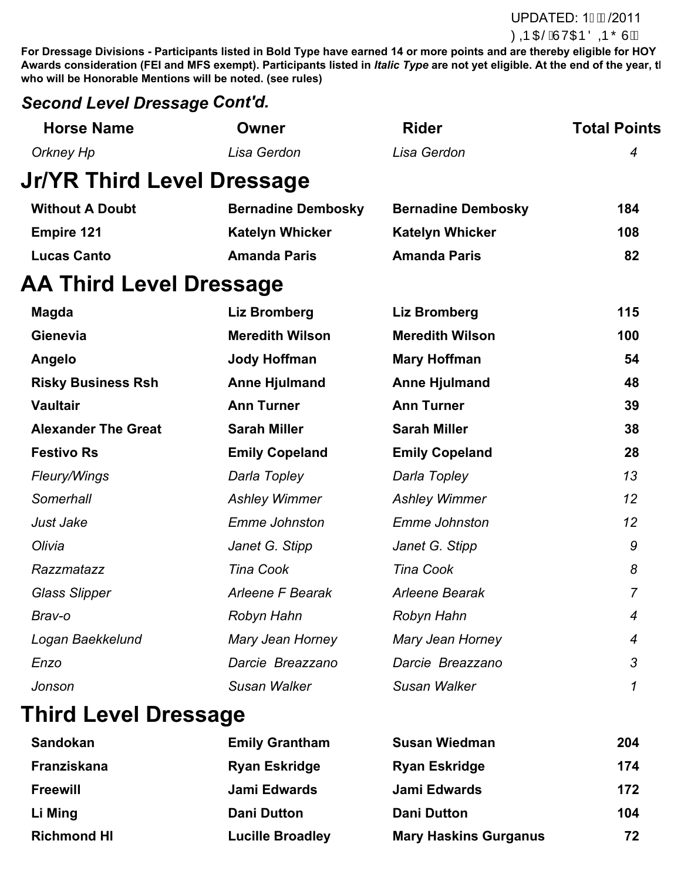**For Dressage Divisions - Participants listed in Bold Type have earned 14 or more points and are thereby eligible for HOY** Awards consideration (FEI and MFS exempt). Participants listed in *Italic Type* are not yet eligible. At the end of the year, tl **who will be Honorable Mentions will be noted. (see rules)**

## *Second Level Dressage Cont'd.*

| <b>Horse Name</b>                 | <b>Owner</b>              | <b>Rider</b>              | <b>Total Points</b> |
|-----------------------------------|---------------------------|---------------------------|---------------------|
| <b>Orkney Hp</b>                  | Lisa Gerdon               | Lisa Gerdon               | $\overline{4}$      |
| <b>Jr/YR Third Level Dressage</b> |                           |                           |                     |
| <b>Without A Doubt</b>            | <b>Bernadine Dembosky</b> | <b>Bernadine Dembosky</b> | 184                 |
| <b>Empire 121</b>                 | <b>Katelyn Whicker</b>    | <b>Katelyn Whicker</b>    | 108                 |
| <b>Lucas Canto</b>                | <b>Amanda Paris</b>       | <b>Amanda Paris</b>       | 82                  |
| <b>AA Third Level Dressage</b>    |                           |                           |                     |
| <b>Magda</b>                      | Liz Bromberg              | <b>Liz Bromberg</b>       | 115                 |
| Gienevia                          | <b>Meredith Wilson</b>    | <b>Meredith Wilson</b>    | 100                 |
| Angelo                            | <b>Jody Hoffman</b>       | <b>Mary Hoffman</b>       | 54                  |
| <b>Risky Business Rsh</b>         | <b>Anne Hjulmand</b>      | <b>Anne Hjulmand</b>      | 48                  |
| <b>Vaultair</b>                   | <b>Ann Turner</b>         | <b>Ann Turner</b>         | 39                  |
| <b>Alexander The Great</b>        | <b>Sarah Miller</b>       | <b>Sarah Miller</b>       | 38                  |
| <b>Festivo Rs</b>                 | <b>Emily Copeland</b>     | <b>Emily Copeland</b>     | 28                  |
| Fleury/Wings                      | Darla Topley              | Darla Topley              | 13                  |
| Somerhall                         | <b>Ashley Wimmer</b>      | <b>Ashley Wimmer</b>      | 12                  |
| Just Jake                         | <b>Emme Johnston</b>      | <b>Emme Johnston</b>      | 12                  |
| Olivia                            | Janet G. Stipp            | Janet G. Stipp            | 9                   |
| Razzmatazz                        | <b>Tina Cook</b>          | <b>Tina Cook</b>          | 8                   |
| <b>Glass Slipper</b>              | Arleene F Bearak          | Arleene Bearak            | $\overline{7}$      |
| Brav-o                            | Robyn Hahn                | Robyn Hahn                | $\overline{4}$      |
| Logan Baekkelund                  | Mary Jean Horney          | Mary Jean Horney          | $\overline{4}$      |
| Enzo                              | Darcie Breazzano          | Darcie Breazzano          | 3                   |
| Jonson                            | Susan Walker              | Susan Walker              | 1                   |

# **Third Level Dressage**

| <b>Sandokan</b>    | <b>Emily Grantham</b>   | <b>Susan Wiedman</b>         | 204 |
|--------------------|-------------------------|------------------------------|-----|
| Franziskana        | <b>Ryan Eskridge</b>    | <b>Ryan Eskridge</b>         | 174 |
| <b>Freewill</b>    | Jami Edwards            | Jami Edwards                 | 172 |
| Li Ming            | <b>Dani Dutton</b>      | <b>Dani Dutton</b>           | 104 |
| <b>Richmond HI</b> | <b>Lucille Broadley</b> | <b>Mary Haskins Gurganus</b> | 72  |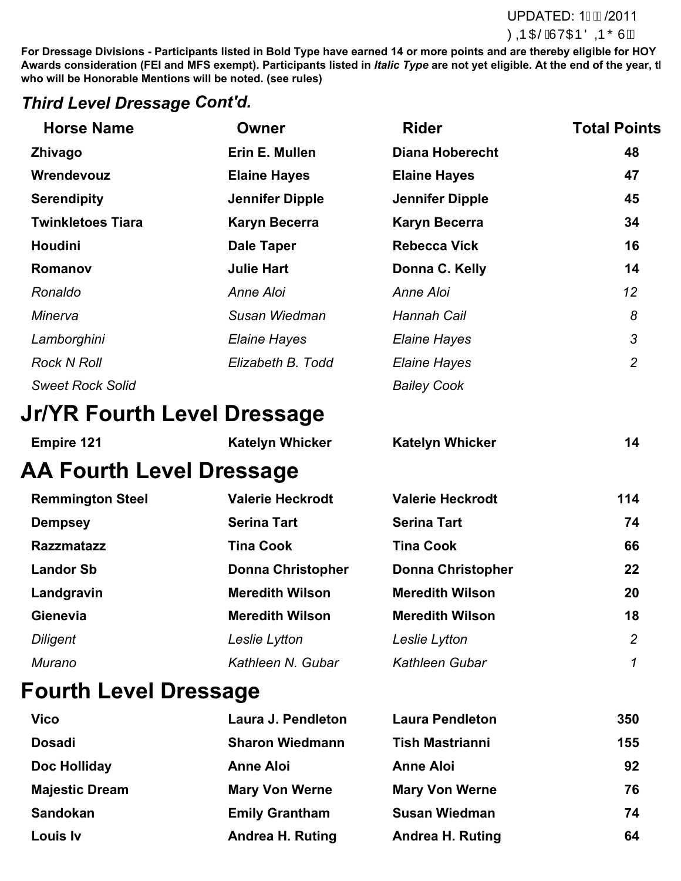#### **For Eventing Must have complete at least one UPDATED: 1/2011 during the competition of the competition of the end of the consideration of the end of the year.**

**For Dressage Divisions - Participants listed in Bold Type have earned 14 or more points and are thereby eligible for HOY** Awards consideration (FEI and MFS exempt). Participants listed in *Italic Type* are not yet eligible. At the end of the year, tl **who will be Honorable Mentions will be noted. (see rules)**

#### *Third Level Dressage Cont'd.*

| <b>Horse Name</b>               | <b>Owner</b>             | <b>Rider</b>             | <b>Total Points</b> |
|---------------------------------|--------------------------|--------------------------|---------------------|
| Zhivago                         | Erin E. Mullen           | <b>Diana Hoberecht</b>   | 48                  |
| Wrendevouz                      | <b>Elaine Hayes</b>      | <b>Elaine Hayes</b>      | 47                  |
| <b>Serendipity</b>              | <b>Jennifer Dipple</b>   | <b>Jennifer Dipple</b>   | 45                  |
| <b>Twinkletoes Tiara</b>        | <b>Karyn Becerra</b>     | <b>Karyn Becerra</b>     | 34                  |
| <b>Houdini</b>                  | <b>Dale Taper</b>        | <b>Rebecca Vick</b>      | 16                  |
| Romanov                         | <b>Julie Hart</b>        | Donna C. Kelly           | 14                  |
| Ronaldo                         | Anne Aloi                | Anne Aloi                | 12                  |
| Minerva                         | Susan Wiedman            | <b>Hannah Cail</b>       | 8                   |
| Lamborghini                     | <b>Elaine Hayes</b>      | <b>Elaine Hayes</b>      | $\mathfrak{Z}$      |
| <b>Rock N Roll</b>              | Elizabeth B. Todd        | <b>Elaine Hayes</b>      | $\overline{2}$      |
| <b>Sweet Rock Solid</b>         |                          | <b>Bailey Cook</b>       |                     |
| Jr/YR Fourth Level Dressage     |                          |                          |                     |
| <b>Empire 121</b>               | <b>Katelyn Whicker</b>   | <b>Katelyn Whicker</b>   | 14                  |
| <b>AA Fourth Level Dressage</b> |                          |                          |                     |
| <b>Remmington Steel</b>         | <b>Valerie Heckrodt</b>  | <b>Valerie Heckrodt</b>  | 114                 |
| <b>Dempsey</b>                  | <b>Serina Tart</b>       | <b>Serina Tart</b>       | 74                  |
| <b>Razzmatazz</b>               | <b>Tina Cook</b>         | <b>Tina Cook</b>         | 66                  |
| <b>Landor Sb</b>                | <b>Donna Christopher</b> | <b>Donna Christopher</b> | 22                  |
| Landgravin                      | <b>Meredith Wilson</b>   | <b>Meredith Wilson</b>   | 20                  |
| Gienevia                        | <b>Meredith Wilson</b>   | <b>Meredith Wilson</b>   | 18                  |
| <b>Diligent</b>                 | Leslie Lytton            | Leslie Lytton            | $\overline{2}$      |
| <b>Murano</b>                   | Kathleen N. Gubar        | Kathleen Gubar           | 1                   |
| <b>Fourth Level Dressage</b>    |                          |                          |                     |
| <b>Vico</b>                     | Laura J. Pendleton       | <b>Laura Pendleton</b>   | 350                 |
| <b>Dosadi</b>                   | <b>Sharon Wiedmann</b>   | <b>Tish Mastrianni</b>   | 155                 |

| Doc Holliday          |  |  |
|-----------------------|--|--|
| <b>Majestic Dream</b> |  |  |

| ገ<br>- |  |  |
|--------|--|--|
|        |  |  |
|        |  |  |

| Doc Holliday          | <b>Anne Aloi</b>        | <b>Anne Aloi</b>        | 92 |
|-----------------------|-------------------------|-------------------------|----|
| <b>Majestic Dream</b> | <b>Mary Von Werne</b>   | <b>Mary Von Werne</b>   | 76 |
| <b>Sandokan</b>       | <b>Emily Grantham</b>   | <b>Susan Wiedman</b>    | 74 |
| Louis Iv              | <b>Andrea H. Ruting</b> | <b>Andrea H. Ruting</b> | 64 |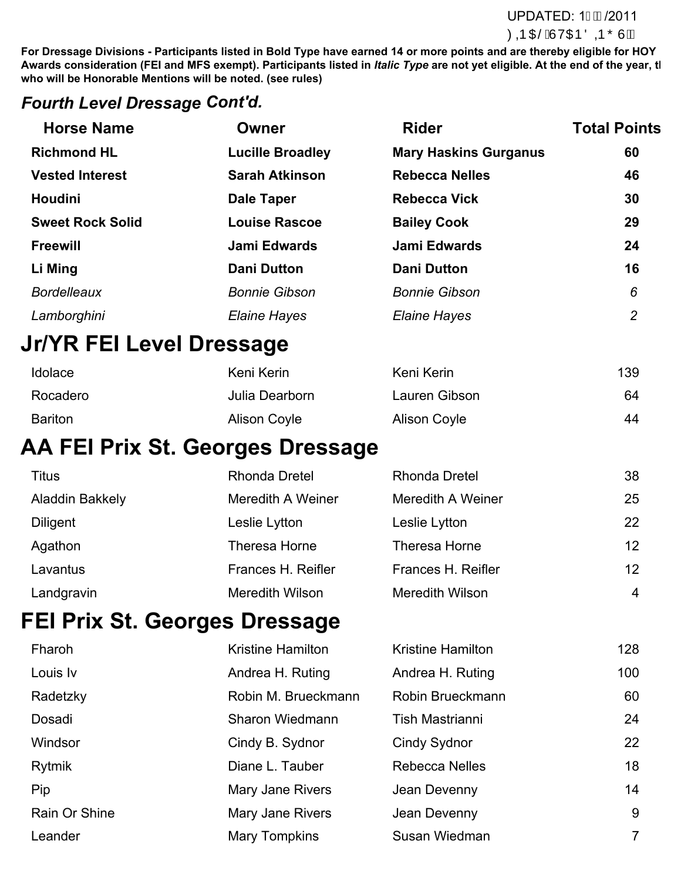#### **For Eventing Must have complete at least one UPDATED: 1/2011 during the competition of the competition of the end of the consideration of the end of the year.**

**For Dressage Divisions - Participants listed in Bold Type have earned 14 or more points and are thereby eligible for HOY** Awards consideration (FEI and MFS exempt). Participants listed in *Italic Type* are not yet eligible. At the end of the year, tl **who will be Honorable Mentions will be noted. (see rules)**

### *Fourth Level Dressage Cont'd.*

| <b>Horse Name</b>        | Owner                                   | <b>Rider</b>                 | <b>Total Points</b> |
|--------------------------|-----------------------------------------|------------------------------|---------------------|
| <b>Richmond HL</b>       | <b>Lucille Broadley</b>                 | <b>Mary Haskins Gurganus</b> | 60                  |
| <b>Vested Interest</b>   | <b>Sarah Atkinson</b>                   | <b>Rebecca Nelles</b>        | 46                  |
| <b>Houdini</b>           | <b>Dale Taper</b>                       | <b>Rebecca Vick</b>          | 30                  |
| <b>Sweet Rock Solid</b>  | <b>Louise Rascoe</b>                    | <b>Bailey Cook</b>           | 29                  |
| <b>Freewill</b>          | <b>Jami Edwards</b>                     | <b>Jami Edwards</b>          | 24                  |
| Li Ming                  | <b>Dani Dutton</b>                      | <b>Dani Dutton</b>           | 16                  |
| <b>Bordelleaux</b>       | <b>Bonnie Gibson</b>                    | <b>Bonnie Gibson</b>         | 6                   |
| Lamborghini              | <b>Elaine Hayes</b>                     | <b>Elaine Hayes</b>          | $\overline{2}$      |
| Jr/YR FEI Level Dressage |                                         |                              |                     |
| Idolace                  | Keni Kerin                              | Keni Kerin                   | 139                 |
| Rocadero                 | Julia Dearborn                          | Lauren Gibson                | 64                  |
| <b>Bariton</b>           | <b>Alison Coyle</b>                     | <b>Alison Coyle</b>          | 44                  |
|                          | <b>AA FEI Prix St. Georges Dressage</b> |                              |                     |
| Titus                    | Rhonda Dretel                           | Rhonda Dretel                | 38                  |

| Titus           | Rhonda Dretel          | Rhonda Dretel          | 38             |
|-----------------|------------------------|------------------------|----------------|
| Aladdin Bakkely | Meredith A Weiner      | Meredith A Weiner      | 25             |
| <b>Diligent</b> | Leslie Lytton          | Leslie Lytton          | 22             |
| Agathon         | <b>Theresa Horne</b>   | Theresa Horne          | 12             |
| Lavantus        | Frances H. Reifler     | Frances H. Reifler     | 12             |
| Landgravin      | <b>Meredith Wilson</b> | <b>Meredith Wilson</b> | $\overline{4}$ |

# **FEI Prix St. Georges Dressage**

| Fharoh        | <b>Kristine Hamilton</b> | <b>Kristine Hamilton</b> | 128            |
|---------------|--------------------------|--------------------------|----------------|
| Louis Iv      | Andrea H. Ruting         | Andrea H. Ruting         | 100            |
| Radetzky      | Robin M. Brueckmann      | Robin Brueckmann         | 60             |
| Dosadi        | Sharon Wiedmann          | Tish Mastrianni          | 24             |
| Windsor       | Cindy B. Sydnor          | Cindy Sydnor             | 22             |
| Rytmik        | Diane L. Tauber          | <b>Rebecca Nelles</b>    | 18             |
| Pip           | Mary Jane Rivers         | Jean Devenny             | 14             |
| Rain Or Shine | Mary Jane Rivers         | Jean Devenny             | 9              |
| Leander       | Mary Tompkins            | Susan Wiedman            | $\overline{7}$ |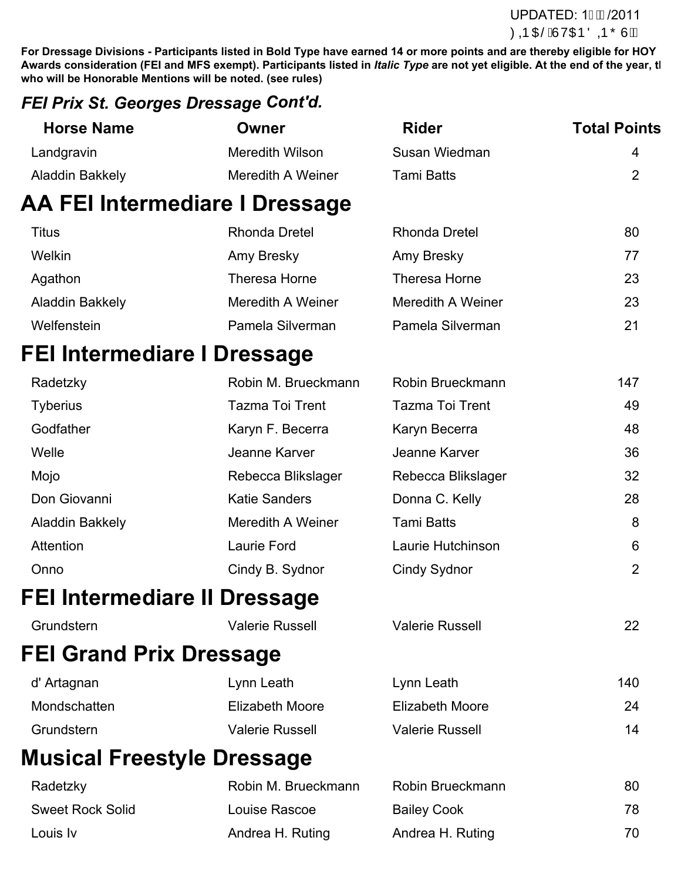#### **For Eventing Divisions at Least one UPDATED: 1/2011** during the competition of the competition of the end of the year. This will be designed at the year. This will be designed at the year. This will be designed at the year. This will be designed at the year. This will be des

**For Dressage Divisions - Participants listed in Bold Type have earned 14 or more points and are thereby eligible for HOY** Awards consideration (FEI and MFS exempt). Participants listed in *Italic Type* are not yet eligible. At the end of the year, the **who will be Honorable Mentions will be noted. (see rules)**

### *FEI Prix St. Georges Dressage Cont'd.*

| <b>Horse Name</b> | Owner             | <b>Rider</b>  | <b>Total Points</b> |
|-------------------|-------------------|---------------|---------------------|
| Landgravin        | Meredith Wilson   | Susan Wiedman | 4                   |
| Aladdin Bakkely   | Meredith A Weiner | Tami Batts    |                     |

# **AA FEI Intermediare I Dressage**

| Titus           | Rhonda Dretel     | Rhonda Dretel     | 80 |
|-----------------|-------------------|-------------------|----|
| Welkin          | Amy Bresky        | Amy Bresky        | 77 |
| Agathon         | Theresa Horne     | Theresa Horne     | 23 |
| Aladdin Bakkely | Meredith A Weiner | Meredith A Weiner | 23 |
| Welfenstein     | Pamela Silverman  | Pamela Silverman  | 21 |

# **FEI Intermediare I Dressage**

| Radetzky                     | Robin M. Brueckmann    | Robin Brueckmann       | 147 |
|------------------------------|------------------------|------------------------|-----|
| <b>Tyberius</b>              | <b>Tazma Toi Trent</b> | <b>Tazma Toi Trent</b> | 49  |
| Godfather                    | Karyn F. Becerra       | Karyn Becerra          | 48  |
| Welle                        | Jeanne Karver          | Jeanne Karver          | 36  |
| Mojo                         | Rebecca Blikslager     | Rebecca Blikslager     | 32  |
| Don Giovanni                 | <b>Katie Sanders</b>   | Donna C. Kelly         | 28  |
| Aladdin Bakkely              | Meredith A Weiner      | <b>Tami Batts</b>      | 8   |
| <b>Attention</b>             | Laurie Ford            | Laurie Hutchinson      | 6   |
| Onno                         | Cindy B. Sydnor        | <b>Cindy Sydnor</b>    | 2   |
| FEI Intermediare II Dressage |                        |                        |     |
| Grundstern                   | <b>Valerie Russell</b> | <b>Valerie Russell</b> | 22  |
|                              |                        |                        |     |

# **FEI Grand Prix Dressage**

| d' Artagnan  | Lynn Leath             | Lynn Leath             | 140 |
|--------------|------------------------|------------------------|-----|
| Mondschatten | Elizabeth Moore        | Elizabeth Moore        | 24  |
| Grundstern   | <b>Valerie Russell</b> | <b>Valerie Russell</b> | 14  |

# **Musical Freestyle Dressage**

| Radetzky                | Robin M. Brueckmann | Robin Brueckmann   | 80  |
|-------------------------|---------------------|--------------------|-----|
| <b>Sweet Rock Solid</b> | Louise Rascoe       | <b>Bailey Cook</b> | 78  |
| Louis Iv                | Andrea H. Ruting    | Andrea H. Ruting   | 70. |